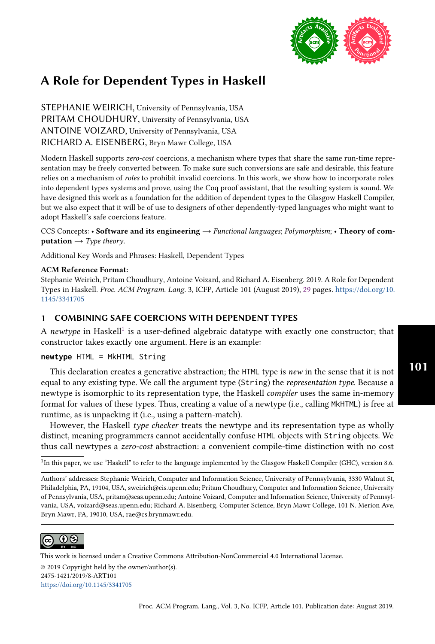

STEPHANIE WEIRICH, University of Pennsylvania, USA PRITAM CHOUDHURY, University of Pennsylvania, USA ANTOINE VOIZARD, University of Pennsylvania, USA RICHARD A. EISENBERG, Bryn Mawr College, USA

Modern Haskell supports zero-cost coercions, a mechanism where types that share the same run-time representation may be freely converted between. To make sure such conversions are safe and desirable, this feature relies on a mechanism of roles to prohibit invalid coercions. In this work, we show how to incorporate roles into dependent types systems and prove, using the Coq proof assistant, that the resulting system is sound. We have designed this work as a foundation for the addition of dependent types to the Glasgow Haskell Compiler, but we also expect that it will be of use to designers of other dependently-typed languages who might want to adopt Haskell's safe coercions feature.

CCS Concepts: • Software and its engineering  $\rightarrow$  Functional languages; Polymorphism; • Theory of computation  $\rightarrow$  Type theory.

Additional Key Words and Phrases: Haskell, Dependent Types

#### ACM Reference Format:

Stephanie Weirich, Pritam Choudhury, Antoine Voizard, and Richard A. Eisenberg. 2019. A Role for Dependent Types in Haskell. Proc. ACM Program. Lang. 3, ICFP, Article 101 (August 2019), [29](#page-28-0) pages. [https://doi.org/10.](https://doi.org/10.1145/3341705) [1145/3341705](https://doi.org/10.1145/3341705)

# 1 COMBINING SAFE COERCIONS WITH DEPENDENT TYPES

A newtype in Haskell<sup>[1](#page-0-0)</sup> is a user-defined algebraic datatype with exactly one constructor; that constructor takes exactly one argument. Here is an example:

#### **newtype** HTML = MkHTML String

This declaration creates a generative abstraction; the HTML type is new in the sense that it is not equal to any existing type. We call the argument type (String) the representation type. Because a newtype is isomorphic to its representation type, the Haskell compiler uses the same in-memory format for values of these types. Thus, creating a value of a newtype (i.e., calling MkHTML) is free at runtime, as is unpacking it (i.e., using a pattern-match).

However, the Haskell type checker treats the newtype and its representation type as wholly distinct, meaning programmers cannot accidentally confuse HTML objects with String objects. We thus call newtypes a zero-cost abstraction: a convenient compile-time distinction with no cost

<span id="page-0-0"></span><sup>1</sup>In this paper, we use "Haskell" to refer to the language implemented by the Glasgow Haskell Compiler (GHC), version 8.6.

Authors' addresses: Stephanie Weirich, Computer and Information Science, University of Pennsylvania, 3330 Walnut St, Philadelphia, PA, 19104, USA, sweirich@cis.upenn.edu; Pritam Choudhury, Computer and Information Science, University of Pennsylvania, USA, pritam@seas.upenn.edu; Antoine Voizard, Computer and Information Science, University of Pennsylvania, USA, voizard@seas.upenn.edu; Richard A. Eisenberg, Computer Science, Bryn Mawr College, 101 N. Merion Ave, Bryn Mawr, PA, 19010, USA, rae@cs.brynmawr.edu.



This work is licensed under a Creative Commons Attribution-NonCommercial 4.0 International License.

© 2019 Copyright held by the owner/author(s). 2475-1421/2019/8-ART101 <https://doi.org/10.1145/3341705>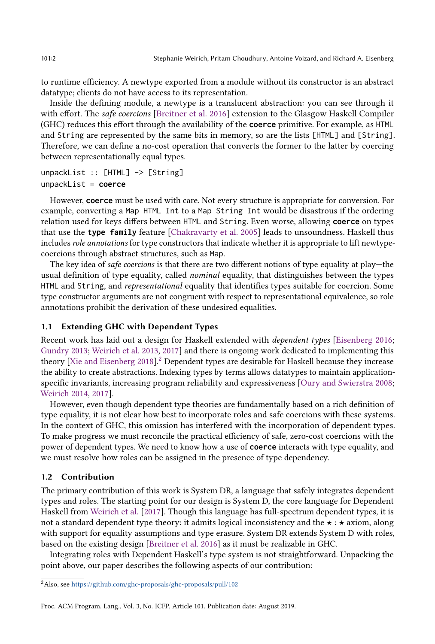to runtime efficiency. A newtype exported from a module without its constructor is an abstract datatype; clients do not have access to its representation.

Inside the defining module, a newtype is a translucent abstraction: you can see through it with effort. The safe coercions [\[Breitner et al.](#page-27-0) [2016\]](#page-27-0) extension to the Glasgow Haskell Compiler (GHC) reduces this effort through the availability of the **coerce** primitive. For example, as HTML and String are represented by the same bits in memory, so are the lists [HTML] and [String]. Therefore, we can define a no-cost operation that converts the former to the latter by coercing between representationally equal types.

```
unpackList :: [HTML] -> [String]
unpackList = coerce
```
However, **coerce** must be used with care. Not every structure is appropriate for conversion. For example, converting a Map HTML Int to a Map String Int would be disastrous if the ordering relation used for keys differs between HTML and String. Even worse, allowing **coerce** on types that use the **type family** feature [\[Chakravarty et al.](#page-27-1) [2005\]](#page-27-1) leads to unsoundness. Haskell thus includes role annotations for type constructors that indicate whether it is appropriate to lift newtypecoercions through abstract structures, such as Map.

The key idea of safe coercions is that there are two different notions of type equality at play—the usual definition of type equality, called nominal equality, that distinguishes between the types HTML and String, and *representational* equality that identifies types suitable for coercion. Some type constructor arguments are not congruent with respect to representational equivalence, so role annotations prohibit the derivation of these undesired equalities.

# 1.1 Extending GHC with Dependent Types

Recent work has laid out a design for Haskell extended with dependent types [\[Eisenberg 2016;](#page-27-2) [Gundry 2013;](#page-27-3) [Weirich et al.](#page-28-1) [2013,](#page-28-1) [2017\]](#page-28-2) and there is ongoing work dedicated to implementing this theory  $[X]$ ie and Eisenberg [2](#page-1-0)018].<sup>2</sup> Dependent types are desirable for Haskell because they increase the ability to create abstractions. Indexing types by terms allows datatypes to maintain applicationspecific invariants, increasing program reliability and expressiveness [\[Oury and Swierstra 2008;](#page-28-4) [Weirich 2014,](#page-28-5) [2017\]](#page-28-6).

However, even though dependent type theories are fundamentally based on a rich definition of type equality, it is not clear how best to incorporate roles and safe coercions with these systems. In the context of GHC, this omission has interfered with the incorporation of dependent types. To make progress we must reconcile the practical efficiency of safe, zero-cost coercions with the power of dependent types. We need to know how a use of **coerce** interacts with type equality, and we must resolve how roles can be assigned in the presence of type dependency.

#### 1.2 Contribution

The primary contribution of this work is System DR, a language that safely integrates dependent types and roles. The starting point for our design is System D, the core language for Dependent Haskell from [Weirich et al.](#page-28-2) [\[2017\]](#page-28-2). Though this language has full-spectrum dependent types, it is not a standard dependent type theory: it admits logical inconsistency and the  $\star : \star$  axiom, along with support for equality assumptions and type erasure. System DR extends System D with roles, based on the existing design [\[Breitner et al. 2016\]](#page-27-0) as it must be realizable in GHC.

Integrating roles with Dependent Haskell's type system is not straightforward. Unpacking the point above, our paper describes the following aspects of our contribution:

<span id="page-1-0"></span><sup>2</sup>Also, see <https://github.com/ghc-proposals/ghc-proposals/pull/102>

Proc. ACM Program. Lang., Vol. 3, No. ICFP, Article 101. Publication date: August 2019.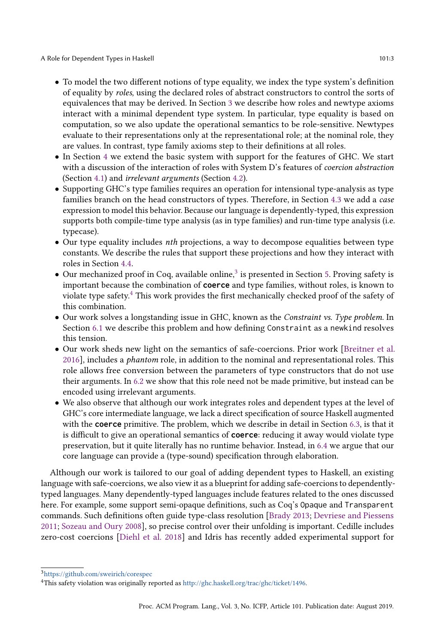- To model the two different notions of type equality, we index the type system's definition of equality by roles, using the declared roles of abstract constructors to control the sorts of equivalences that may be derived. In Section [3](#page-6-0) we describe how roles and newtype axioms interact with a minimal dependent type system. In particular, type equality is based on computation, so we also update the operational semantics to be role-sensitive. Newtypes evaluate to their representations only at the representational role; at the nominal role, they are values. In contrast, type family axioms step to their definitions at all roles.
- In Section [4](#page-12-0) we extend the basic system with support for the features of GHC. We start with a discussion of the interaction of roles with System D's features of coercion abstraction (Section [4.1\)](#page-13-0) and irrelevant arguments (Section [4.2\)](#page-14-0).
- Supporting GHC's type families requires an operation for intensional type-analysis as type families branch on the head constructors of types. Therefore, in Section [4.3](#page-15-0) we add a case expression to model this behavior. Because our language is dependently-typed, this expression supports both compile-time type analysis (as in type families) and run-time type analysis (i.e. typecase).
- Our type equality includes nth projections, a way to decompose equalities between type constants. We describe the rules that support these projections and how they interact with roles in Section [4.4.](#page-17-0)
- Our mechanized proof in Coq, available online,<sup>[3](#page-2-0)</sup> is presented in Section [5.](#page-17-1) Proving safety is important because the combination of **coerce** and type families, without roles, is known to violate type safety.<sup>[4](#page-2-1)</sup> This work provides the first mechanically checked proof of the safety of this combination.
- Our work solves a longstanding issue in GHC, known as the Constraint vs. Type problem. In Section [6.1](#page-20-0) we describe this problem and how defining Constraint as a newkind resolves this tension.
- Our work sheds new light on the semantics of safe-coercions. Prior work [\[Breitner et al.](#page-27-0) [2016\]](#page-27-0), includes a phantom role, in addition to the nominal and representational roles. This role allows free conversion between the parameters of type constructors that do not use their arguments. In [6.2](#page-21-0) we show that this role need not be made primitive, but instead can be encoded using irrelevant arguments.
- We also observe that although our work integrates roles and dependent types at the level of GHC's core intermediate language, we lack a direct specification of source Haskell augmented with the **coerce** primitive. The problem, which we describe in detail in Section [6.3,](#page-22-0) is that it is difficult to give an operational semantics of **coerce**: reducing it away would violate type preservation, but it quite literally has no runtime behavior. Instead, in [6.4](#page-23-0) we argue that our core language can provide a (type-sound) specification through elaboration.

Although our work is tailored to our goal of adding dependent types to Haskell, an existing language with safe-coercions, we also view it as a blueprint for adding safe-coercions to dependentlytyped languages. Many dependently-typed languages include features related to the ones discussed here. For example, some support semi-opaque definitions, such as Coq's Opaque and Transparent commands. Such definitions often guide type-class resolution [\[Brady 2013;](#page-27-4) [Devriese and Piessens](#page-27-5) [2011;](#page-27-5) [Sozeau and Oury 2008\]](#page-28-7), so precise control over their unfolding is important. Cedille includes zero-cost coercions [\[Diehl et al.](#page-27-6) [2018\]](#page-27-6) and Idris has recently added experimental support for

<span id="page-2-0"></span><sup>3</sup><https://github.com/sweirich/corespec>

<span id="page-2-1"></span><sup>&</sup>lt;sup>4</sup>This safety violation was originally reported as [http://ghc.haskell.org/trac/ghc/ticket/1496.](http://ghc.haskell.org/trac/ghc/ticket/1496)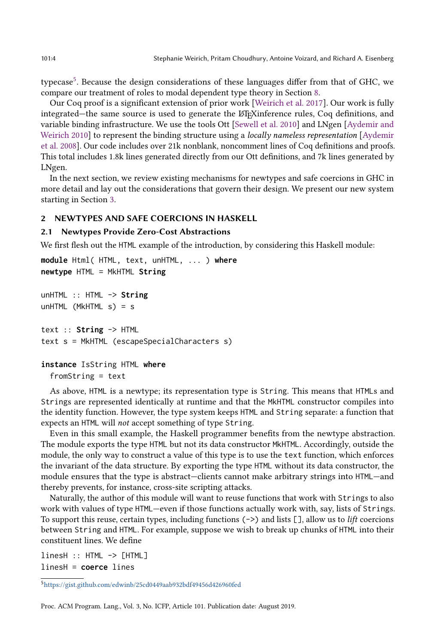typecase<sup>[5](#page-3-0)</sup>. Because the design considerations of these languages differ from that of GHC, we compare our treatment of roles to modal dependent type theory in Section [8.](#page-25-0)

Our Coq proof is a significant extension of prior work [\[Weirich et al.](#page-28-2) [2017\]](#page-28-2). Our work is fully integrated–the same source is used to generate the LATEXinference rules, Coq definitions, and variable binding infrastructure. We use the tools Ott [\[Sewell et al.](#page-28-8) [2010\]](#page-28-8) and LNgen [\[Aydemir and](#page-27-7) [Weirich 2010\]](#page-27-7) to represent the binding structure using a *locally nameless representation* [\[Aydemir](#page-27-8) [et al.](#page-27-8) [2008\]](#page-27-8). Our code includes over 21k nonblank, noncomment lines of Coq definitions and proofs. This total includes 1.8k lines generated directly from our Ott definitions, and 7k lines generated by LNgen.

In the next section, we review existing mechanisms for newtypes and safe coercions in GHC in more detail and lay out the considerations that govern their design. We present our new system starting in Section [3.](#page-6-0)

#### 2 NEWTYPES AND SAFE COERCIONS IN HASKELL

#### 2.1 Newtypes Provide Zero-Cost Abstractions

We first flesh out the HTML example of the introduction, by considering this Haskell module:

**module** Html( HTML, text, unHTML, ... ) **where newtype** HTML = MkHTML **String**

```
unHTML :: HTML -> String
unHTML (MkHTML s) = s
text :: String -> HTML
text s = MkHTML (escapeSpecialCharacters s)
```
# **instance** IsString HTML **where**

```
fromString = text
```
As above, HTML is a newtype; its representation type is String. This means that HTMLs and Strings are represented identically at runtime and that the MkHTML constructor compiles into the identity function. However, the type system keeps HTML and String separate: a function that expects an HTML will not accept something of type String.

Even in this small example, the Haskell programmer benefits from the newtype abstraction. The module exports the type HTML but not its data constructor MkHTML. Accordingly, outside the module, the only way to construct a value of this type is to use the text function, which enforces the invariant of the data structure. By exporting the type HTML without its data constructor, the module ensures that the type is abstract—clients cannot make arbitrary strings into HTML—and thereby prevents, for instance, cross-site scripting attacks.

Naturally, the author of this module will want to reuse functions that work with Strings to also work with values of type HTML—even if those functions actually work with, say, lists of Strings. To support this reuse, certain types, including functions  $(-)$  and lists  $[$ ], allow us to *lift* coercions between String and HTML. For example, suppose we wish to break up chunks of HTML into their constituent lines. We define

linesH :: HTML -> [HTML] linesH = **coerce** lines

<span id="page-3-0"></span><sup>5</sup><https://gist.github.com/edwinb/25cd0449aab932bdf49456d426960fed>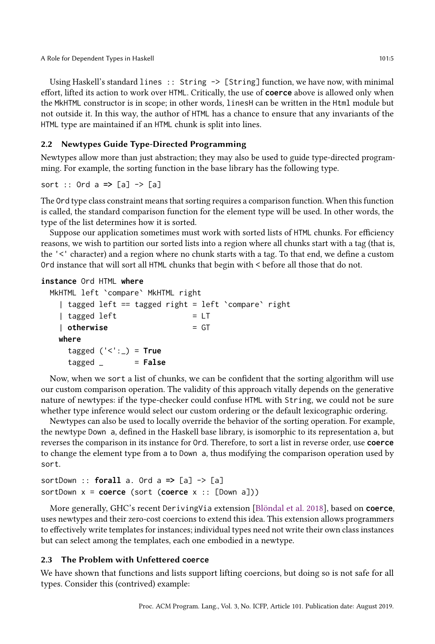Using Haskell's standard lines :: String -> [String] function, we have now, with minimal effort, lifted its action to work over HTML. Critically, the use of **coerce** above is allowed only when the MkHTML constructor is in scope; in other words, linesH can be written in the Html module but not outside it. In this way, the author of HTML has a chance to ensure that any invariants of the HTML type are maintained if an HTML chunk is split into lines.

# 2.2 Newtypes Guide Type-Directed Programming

Newtypes allow more than just abstraction; they may also be used to guide type-directed programming. For example, the sorting function in the base library has the following type.

sort :: Ord a **=>** [a] -> [a]

The Ord type class constraint means that sorting requires a comparison function. When this function is called, the standard comparison function for the element type will be used. In other words, the type of the list determines how it is sorted.

Suppose our application sometimes must work with sorted lists of HTML chunks. For efficiency reasons, we wish to partition our sorted lists into a region where all chunks start with a tag (that is, the '<' character) and a region where no chunk starts with a tag. To that end, we define a custom Ord instance that will sort all HTML chunks that begin with < before all those that do not.

```
instance Ord HTML where
```

```
MkHTML left `compare` MkHTML right
 | tagged left == tagged right = left `compare` right
 | tagged left = LT| otherwise = GT
 where
   tagged ('<':_) = True
   tagged _ = False
```
Now, when we sort a list of chunks, we can be confident that the sorting algorithm will use our custom comparison operation. The validity of this approach vitally depends on the generative nature of newtypes: if the type-checker could confuse HTML with String, we could not be sure whether type inference would select our custom ordering or the default lexicographic ordering.

Newtypes can also be used to locally override the behavior of the sorting operation. For example, the newtype Down a, defined in the Haskell base library, is isomorphic to its representation a, but reverses the comparison in its instance for Ord. Therefore, to sort a list in reverse order, use **coerce** to change the element type from a to Down a, thus modifying the comparison operation used by sort.

```
sortDown :: forall a. Ord a => [a] -> [a]
sortDown x = coerce (sort (coerce x :: [Down a]))
```
More generally, GHC's recent DerivingVia extension [\[Blöndal et al.](#page-27-9) [2018\]](#page-27-9), based on **coerce**, uses newtypes and their zero-cost coercions to extend this idea. This extension allows programmers to effectively write templates for instances; individual types need not write their own class instances but can select among the templates, each one embodied in a newtype.

# <span id="page-4-0"></span>2.3 The Problem with Unfettered **coerce**

We have shown that functions and lists support lifting coercions, but doing so is not safe for all types. Consider this (contrived) example: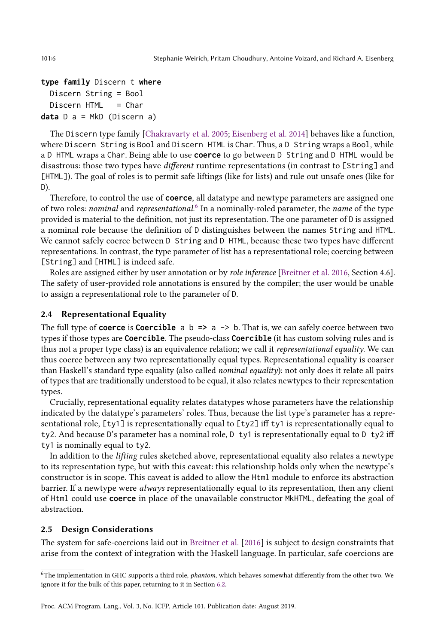```
type family Discern t where
  Discern String = Bool
  Discern HTML = Char
data D a = MkD (Discern a)
```
The Discern type family [\[Chakravarty et al.](#page-27-1) [2005;](#page-27-1) [Eisenberg et al.](#page-27-10) [2014\]](#page-27-10) behaves like a function, where Discern String is Bool and Discern HTML is Char. Thus, a D String wraps a Bool, while a D HTML wraps a Char. Being able to use **coerce** to go between D String and D HTML would be disastrous: those two types have different runtime representations (in contrast to [String] and [HTML]). The goal of roles is to permit safe liftings (like for lists) and rule out unsafe ones (like for D).

Therefore, to control the use of **coerce**, all datatype and newtype parameters are assigned one of two roles: nominal and representational.<sup>[6](#page-5-0)</sup> In a nominally-roled parameter, the name of the type provided is material to the definition, not just its representation. The one parameter of D is assigned a nominal role because the definition of D distinguishes between the names String and HTML. We cannot safely coerce between D String and D HTML, because these two types have different representations. In contrast, the type parameter of list has a representational role; coercing between [String] and [HTML] is indeed safe.

Roles are assigned either by user annotation or by role inference [\[Breitner et al.](#page-27-0) [2016,](#page-27-0) Section 4.6]. The safety of user-provided role annotations is ensured by the compiler; the user would be unable to assign a representational role to the parameter of D.

# <span id="page-5-1"></span>2.4 Representational Equality

The full type of **coerce** is **Coercible** a b **=>** a -> b. That is, we can safely coerce between two types if those types are **Coercible**. The pseudo-class **Coercible** (it has custom solving rules and is thus not a proper type class) is an equivalence relation; we call it representational equality. We can thus coerce between any two representationally equal types. Representational equality is coarser than Haskell's standard type equality (also called nominal equality): not only does it relate all pairs of types that are traditionally understood to be equal, it also relates newtypes to their representation types.

Crucially, representational equality relates datatypes whose parameters have the relationship indicated by the datatype's parameters' roles. Thus, because the list type's parameter has a representational role, [ty1] is representationally equal to [ty2] iff ty1 is representationally equal to ty2. And because D's parameter has a nominal role, D ty1 is representationally equal to D ty2 iff ty1 is nominally equal to ty2.

In addition to the *lifting* rules sketched above, representational equality also relates a newtype to its representation type, but with this caveat: this relationship holds only when the newtype's constructor is in scope. This caveat is added to allow the Html module to enforce its abstraction barrier. If a newtype were always representationally equal to its representation, then any client of Html could use **coerce** in place of the unavailable constructor MkHTML, defeating the goal of abstraction.

#### <span id="page-5-2"></span>2.5 Design Considerations

The system for safe-coercions laid out in [Breitner et al.](#page-27-0) [\[2016\]](#page-27-0) is subject to design constraints that arise from the context of integration with the Haskell language. In particular, safe coercions are

<span id="page-5-0"></span><sup>6</sup>The implementation in GHC supports a third role, phantom, which behaves somewhat differently from the other two. We ignore it for the bulk of this paper, returning to it in Section [6.2.](#page-21-0)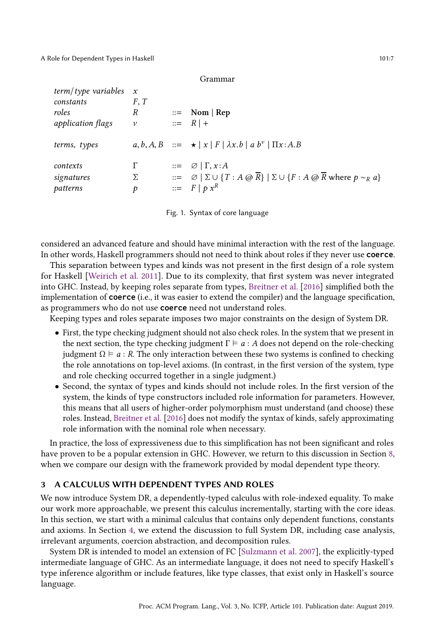#### Grammar

<span id="page-6-1"></span>

| $term/type\ variables$ x<br>constants | F, T  |                                                                                                                                 |
|---------------------------------------|-------|---------------------------------------------------------------------------------------------------------------------------------|
| roles                                 | R     | $ ::= \text{Nom}   \text{Rep}$                                                                                                  |
| <i>application flags</i>              | $\nu$ | $\equiv R \mid +$                                                                                                               |
| terms, types                          |       | $a, b, A, B \quad ::= \quad \star \mid x \mid F \mid \lambda x.b \mid a b^{\nu} \mid \Pi x:A.B$                                 |
| contexts                              | Г     | $\equiv \emptyset   \Gamma, x : A$                                                                                              |
| signatures                            | Σ     | $\equiv \emptyset$ $\Sigma \cup \{T : A \otimes \overline{R}\}$ $\Sigma \cup \{F : A \otimes \overline{R}$ where $p \sim_R a\}$ |
| patterns                              | p     | $\equiv$ $F   p x^R$                                                                                                            |

Fig. 1. Syntax of core language

considered an advanced feature and should have minimal interaction with the rest of the language. In other words, Haskell programmers should not need to think about roles if they never use **coerce**.

This separation between types and kinds was not present in the first design of a role system for Haskell [\[Weirich et al.](#page-28-9) [2011\]](#page-28-9). Due to its complexity, that first system was never integrated into GHC. Instead, by keeping roles separate from types, [Breitner et al.](#page-27-0) [\[2016\]](#page-27-0) simplified both the implementation of **coerce** (i.e., it was easier to extend the compiler) and the language specification, as programmers who do not use **coerce** need not understand roles.

Keeping types and roles separate imposes two major constraints on the design of System DR.

- First, the type checking judgment should not also check roles. In the system that we present in the next section, the type checking judgment  $\Gamma \models a : A$  does not depend on the role-checking judgment Ω  $∈ a : R$ . The only interaction between these two systems is confined to checking the role annotations on top-level axioms. (In contrast, in the first version of the system, type and role checking occurred together in a single judgment.)
- Second, the syntax of types and kinds should not include roles. In the first version of the system, the kinds of type constructors included role information for parameters. However, this means that all users of higher-order polymorphism must understand (and choose) these roles. Instead, [Breitner et al.](#page-27-0) [\[2016\]](#page-27-0) does not modify the syntax of kinds, safely approximating role information with the nominal role when necessary.

In practice, the loss of expressiveness due to this simplification has not been significant and roles have proven to be a popular extension in GHC. However, we return to this discussion in Section [8,](#page-25-0) when we compare our design with the framework provided by modal dependent type theory.

# <span id="page-6-0"></span>3 A CALCULUS WITH DEPENDENT TYPES AND ROLES

We now introduce System DR, a dependently-typed calculus with role-indexed equality. To make our work more approachable, we present this calculus incrementally, starting with the core ideas. In this section, we start with a minimal calculus that contains only dependent functions, constants and axioms. In Section [4,](#page-12-0) we extend the discussion to full System DR, including case analysis, irrelevant arguments, coercion abstraction, and decomposition rules.

System DR is intended to model an extension of FC [\[Sulzmann et al.](#page-28-10) [2007\]](#page-28-10), the explicitly-typed intermediate language of GHC. As an intermediate language, it does not need to specify Haskell's type inference algorithm or include features, like type classes, that exist only in Haskell's source language.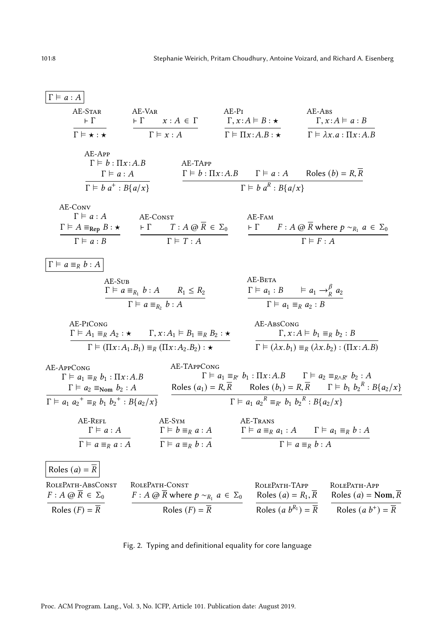<span id="page-7-6"></span><span id="page-7-5"></span><span id="page-7-4"></span><span id="page-7-3"></span><span id="page-7-2"></span><span id="page-7-1"></span><span id="page-7-0"></span>

| $\Gamma \vDash a:A$                                                                                                                                                                     |                                                                                                                                                            |                                                                                                                                                                              |                                                                                                               |
|-----------------------------------------------------------------------------------------------------------------------------------------------------------------------------------------|------------------------------------------------------------------------------------------------------------------------------------------------------------|------------------------------------------------------------------------------------------------------------------------------------------------------------------------------|---------------------------------------------------------------------------------------------------------------|
| AE-Star<br>FΓ                                                                                                                                                                           | AE-VAR<br>$\vdash \Gamma \qquad x:A \in \Gamma$                                                                                                            | $AE-PI$<br>$\Gamma, x:A \vDash B : \star$                                                                                                                                    | AE-ABS<br>$\Gamma, x:A \vDash a:B$                                                                            |
| $\Gamma \vDash \star : \star$                                                                                                                                                           | $\Gamma \models x : A$                                                                                                                                     | $\Gamma \models \Pi x:A.B: \star$                                                                                                                                            | $\Gamma \vDash \lambda x.a : \Pi x:A.B$                                                                       |
| AE-APP<br>$\Gamma \models b : \Pi x : A.B$<br>$\Gamma \vDash a:A$<br>$\Gamma \models b \ a^+ : B\{a/x\}$                                                                                | AE-TAPP                                                                                                                                                    | $\Gamma \models b : \Pi x : A.B \qquad \Gamma \models a : A \qquad \text{Roles} (b) = R, \overline{R}$<br>$\overline{\Gamma} \models b \ a^R : B\{a/x\}$                     |                                                                                                               |
| AE-CONV<br>$\Gamma \models a : A$<br>$\Gamma \vDash a : B$                                                                                                                              | AE-CONST<br>$\Gamma \models A \equiv_{\text{Rep}} B : \star \qquad \vdash \Gamma \qquad T : A \oslash \overline{R} \in \Sigma_0$<br>$\Gamma \models T : A$ | AE-FAM                                                                                                                                                                       | $\vdash \Gamma$ $F : A \omega \overline{R}$ where $p \sim_{R_1} a \in \Sigma_0$<br>$\Gamma \models F : A$     |
| $\Gamma \models a \equiv_R b : A$                                                                                                                                                       |                                                                                                                                                            |                                                                                                                                                                              |                                                                                                               |
| AE-Sub                                                                                                                                                                                  | $\Gamma \vDash a \equiv_{R_1} b : A \qquad R_1 \leq R_2$<br>$\Gamma \vDash a \equiv_{R_2} b : A$                                                           | AE-BETA<br>$\Gamma \vDash a_1 : B \qquad \vDash a_1 \rightarrow_R^{\beta} a_2$<br>$\Gamma \models a_1 \equiv_R a_2 : B$                                                      |                                                                                                               |
| AE-PICONG                                                                                                                                                                               | $\Gamma \models A_1 \equiv_R A_2 : \star$ $\Gamma, x : A_1 \models B_1 \equiv_R B_2 : \star$                                                               | AE-ABSCONG                                                                                                                                                                   | $\Gamma, x:A \models b_1 \equiv_R b_2:B$                                                                      |
|                                                                                                                                                                                         | $\Gamma \models (\Pi x:A_1.B_1) \equiv_R (\Pi x:A_2.B_2) : \star$                                                                                          |                                                                                                                                                                              | $\Gamma \models (\lambda x.b_1) \equiv_R (\lambda x.b_2) : (\Pi x:A.B)$                                       |
| <b>AE-APPCONG</b><br>$\Gamma \vDash a_1 \equiv_R b_1 : \Pi x:A.B$<br>$\Gamma \models a_2 \equiv_{\text{Nom}} b_2 : A$<br>$\Gamma \models a_1 \ a_2^+ \equiv_R b_1 \ b_2^+ : B\{a_2/x\}$ | AE-TAPPCONG                                                                                                                                                | $\Gamma \vDash a_1 \equiv_{R'} b_1 : \Pi x : A.B \qquad \Gamma \vDash a_2 \equiv_{R \wedge R'} b_2 : A$<br>$\Gamma \models a_1 \ a_2^R \equiv_{R'} b_1 \ b_2^R : B\{a_2/x\}$ | Roles $(a_1) = R$ , $\overline{R}$ Roles $(b_1) = R$ , $\overline{R}$ $\Gamma \models b_1 b_2^R : B\{a_2/x\}$ |
| AE-REFL<br>$\Gamma \vDash a:A$                                                                                                                                                          | AE-SYM<br>$\Gamma \models b \equiv_R a : A$<br>$\Gamma \models a \equiv_R a : A$ $\Gamma \models a \equiv_R b : A$                                         | AE-TRANS                                                                                                                                                                     | $\Gamma \vDash a \equiv_R a_1 : A$ $\Gamma \vDash a_1 \equiv_R b : A$<br>$\Gamma \models a \equiv_R b : A$    |
| Roles (a) = $\overline{R}$                                                                                                                                                              |                                                                                                                                                            |                                                                                                                                                                              |                                                                                                               |
| ROLEPATH-ABSCONST<br>$F: A \overline{\omega} \overline{R} \in \Sigma_0$                                                                                                                 | ROLEPATH-CONST<br>$F: A \omega \overline{R}$ where $p \sim_{R_1} a \in \Sigma_0$                                                                           | ROLEPATH-TAPP<br>Roles (a) = $R_1$ , $\overline{R}$                                                                                                                          | ROLEPATH-APP<br>Roles (a) = $\text{Nom}, R$                                                                   |
| Roles $(F) = \overline{R}$                                                                                                                                                              | Roles $(F) = \overline{R}$                                                                                                                                 |                                                                                                                                                                              | Roles $(a b^{R_1}) = \overline{R}$ Roles $(a b^+) = \overline{R}$                                             |

<span id="page-7-8"></span><span id="page-7-7"></span>Fig. 2. Typing and definitional equality for core language

Proc. ACM Program. Lang., Vol. 3, No. ICFP, Article 101. Publication date: August 2019.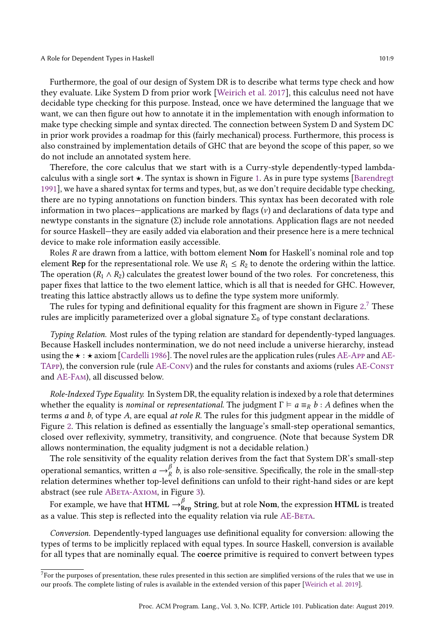Furthermore, the goal of our design of System DR is to describe what terms type check and how they evaluate. Like System D from prior work [\[Weirich et al.](#page-28-2) [2017\]](#page-28-2), this calculus need not have decidable type checking for this purpose. Instead, once we have determined the language that we want, we can then figure out how to annotate it in the implementation with enough information to make type checking simple and syntax directed. The connection between System D and System DC in prior work provides a roadmap for this (fairly mechanical) process. Furthermore, this process is also constrained by implementation details of GHC that are beyond the scope of this paper, so we do not include an annotated system here.

Therefore, the core calculus that we start with is a Curry-style dependently-typed lambdacalculus with a single sort  $\star$ . The syntax is shown in Figure [1.](#page-6-1) As in pure type systems [\[Barendregt](#page-27-11)] [1991\]](#page-27-11), we have a shared syntax for terms and types, but, as we don't require decidable type checking, there are no typing annotations on function binders. This syntax has been decorated with role information in two places—applications are marked by flags  $(v)$  and declarations of data type and newtype constants in the signature  $(\Sigma)$  include role annotations. Application flags are not needed for source Haskell–they are easily added via elaboration and their presence here is a mere technical device to make role information easily accessible.

Roles R are drawn from a lattice, with bottom element Nom for Haskell's nominal role and top element Rep for the representational role. We use  $R_1 \leq R_2$  to denote the ordering within the lattice. The operation ( $R_1 \wedge R_2$ ) calculates the greatest lower bound of the two roles. For concreteness, this paper fixes that lattice to the two element lattice, which is all that is needed for GHC. However, treating this lattice abstractly allows us to define the type system more uniformly.

The rules for typing and definitional equality for this fragment are shown in Figure  $2.7$  $2.7$  These rules are implicitly parameterized over a global signature  $\Sigma_0$  of type constant declarations.

Typing Relation. Most rules of the typing relation are standard for dependently-typed languages. Because Haskell includes nontermination, we do not need include a universe hierarchy, instead using the  $\star$ :  $\star$  axiom [\[Cardelli 1986\]](#page-27-12). The novel rules are the application rules (rules [AE-App](#page-7-1) and [AE-](#page-7-2)[TApp](#page-7-2)), the conversion rule (rule [AE-Conv](#page-7-3)) and the rules for constants and axioms (rules [AE-Const](#page-7-4) and [AE-Fam](#page-7-5)), all discussed below.

Role-Indexed Type Equality. In System DR, the equality relation is indexed by a role that determines whether the equality is *nominal* or *representational*. The judgment  $\Gamma \models a \equiv_R b : A$  defines when the terms a and b, of type A, are equal at role R. The rules for this judgment appear in the middle of Figure [2.](#page-7-0) This relation is defined as essentially the language's small-step operational semantics, closed over reflexivity, symmetry, transitivity, and congruence. (Note that because System DR allows nontermination, the equality judgment is not a decidable relation.)

The role sensitivity of the equality relation derives from the fact that System DR's small-step operational semantics, written  $a \rightarrow^{\beta}_{\scriptscriptstyle{R}}$  $R \atop R$  b, is also role-sensitive. Specifically, the role in the small-step relation determines whether top-level definitions can unfold to their right-hand sides or are kept abstract (see rule ABETA-AXIOM, in Figure [3\)](#page-11-1).

For example, we have that  $HTML \rightarrow^{\beta}_{\rm Rep}$  String, but at role Nom, the expression HTML is treated as a value. This step is reflected into the equality relation via rule AE-BETA.

Conversion. Dependently-typed languages use definitional equality for conversion: allowing the types of terms to be implicitly replaced with equal types. In source Haskell, conversion is available for all types that are nominally equal. The coerce primitive is required to convert between types

<span id="page-8-0"></span> $<sup>7</sup>$  For the purposes of presentation, these rules presented in this section are simplified versions of the rules that we use in</sup> our proofs. The complete listing of rules is available in the extended version of this paper [\[Weirich et al. 2019\]](#page-28-11).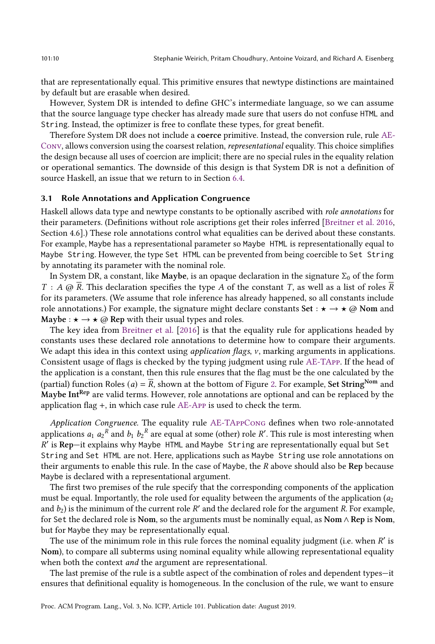that are representationally equal. This primitive ensures that newtype distinctions are maintained by default but are erasable when desired.

However, System DR is intended to define GHC's intermediate language, so we can assume that the source language type checker has already made sure that users do not confuse HTML and String. Instead, the optimizer is free to conflate these types, for great benefit.

Therefore System DR does not include a coerce primitive. Instead, the conversion rule, rule [AE-](#page-7-3)[Conv](#page-7-3), allows conversion using the coarsest relation, representational equality. This choice simplifies the design because all uses of coercion are implicit; there are no special rules in the equality relation or operational semantics. The downside of this design is that System DR is not a definition of source Haskell, an issue that we return to in Section [6.4.](#page-23-0)

# 3.1 Role Annotations and Application Congruence

Haskell allows data type and newtype constants to be optionally ascribed with role annotations for their parameters. (Definitions without role ascriptions get their roles inferred [\[Breitner et al.](#page-27-0) [2016,](#page-27-0) Section 4.6].) These role annotations control what equalities can be derived about these constants. For example, Maybe has a representational parameter so Maybe HTML is representationally equal to Maybe String. However, the type Set HTML can be prevented from being coercible to Set String by annotating its parameter with the nominal role.

In System DR, a constant, like Maybe, is an opaque declaration in the signature  $\Sigma_0$  of the form  $T : A \omega \overline{R}$ . This declaration specifies the type A of the constant T, as well as a list of roles  $\overline{R}$ for its parameters. (We assume that role inference has already happened, so all constants include role annotations.) For example, the signature might declare constants Set :  $\star \rightarrow \star \omega$  Nom and Maybe :  $\star \rightarrow \star \omega$  Rep with their usual types and roles.

The key idea from [Breitner et al.](#page-27-0) [\[2016\]](#page-27-0) is that the equality rule for applications headed by constants uses these declared role annotations to determine how to compare their arguments. We adapt this idea in this context using *application flags*,  $\nu$ , marking arguments in applications. Consistent usage of flags is checked by the typing judgment using rule [AE-TApp](#page-7-2). If the head of the application is a constant, then this rule ensures that the flag must be the one calculated by the (partial) function Roles (a) =  $\overline{R}$ , shown at the bottom of Figure [2.](#page-7-0) For example, Set String<sup>Nom</sup> and Maybe Int<sup>Rep</sup> are valid terms. However, role annotations are optional and can be replaced by the application flag +, in which case rule [AE-App](#page-7-1) is used to check the term.

Application Congruence. The equality rule [AE-TAppCong](#page-7-7) defines when two role-annotated applications  $a_1$   $a_2{}^R$  and  $b_1$   $b_2{}^R$  are equal at some (other) role  $R'.$  This rule is most interesting when  $R'$  is  $\text{Rep--it}$  explains why Maybe HTML and Maybe String are representationally equal but Set String and Set HTML are not. Here, applications such as Maybe String use role annotations on their arguments to enable this rule. In the case of Maybe, the  $R$  above should also be  $\mathbb{R}$ ep because Maybe is declared with a representational argument.

The first two premises of the rule specify that the corresponding components of the application must be equal. Importantly, the role used for equality between the arguments of the application ( $a_2$ ) and  $b_2$ ) is the minimum of the current role  $R'$  and the declared role for the argument R. For example, for Set the declared role is Nom, so the arguments must be nominally equal, as Nom  $\wedge$  Rep is Nom, but for Maybe they may be representationally equal.

The use of the minimum role in this rule forces the nominal equality judgment (i.e. when R' is Nom), to compare all subterms using nominal equality while allowing representational equality when both the context and the argument are representational.

The last premise of the rule is a subtle aspect of the combination of roles and dependent types—it ensures that definitional equality is homogeneous. In the conclusion of the rule, we want to ensure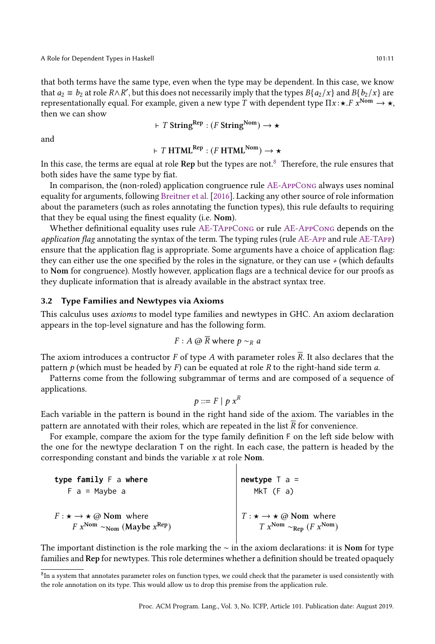that both terms have the same type, even when the type may be dependent. In this case, we know that  $a_2 \equiv b_2$  at role  $R \wedge R'$ , but this does not necessarily imply that the types  $B\{a_2/x\}$  and  $B\{b_2/x\}$  are representationally equal. For example, given a new type T with dependent type  $\Pi x : \star F x^{\text{Nom}} \to \star$ , then we can show

$$
\vdash T\text{String}^{\text{Rep}} : (F\text{String}^{\text{Nom}}) \to \star
$$

and

$$
\vdash T \text{ HTML}^{\text{Rep}} : (F \text{ HTML}^{\text{Nom}}) \to \star
$$

In this case, the terms are equal at role  $\bf Rep$  but the types are not.<sup>[8](#page-10-0)</sup> Therefore, the rule ensures that both sides have the same type by fiat.

In comparison, the (non-roled) application congruence rule [AE-AppCong](#page-7-8) always uses nominal equality for arguments, following [Breitner et al.](#page-27-0) [\[2016\]](#page-27-0). Lacking any other source of role information about the parameters (such as roles annotating the function types), this rule defaults to requiring that they be equal using the finest equality (i.e. Nom).

Whether definitional equality uses rule [AE-TAppCong](#page-7-7) or rule [AE-AppCong](#page-7-8) depends on the application flag annotating the syntax of the term. The typing rules (rule [AE-App](#page-7-1) and rule [AE-TApp](#page-7-2)) ensure that the application flag is appropriate. Some arguments have a choice of application flag: they can either use the one specified by the roles in the signature, or they can use  $+$  (which defaults to Nom for congruence). Mostly however, application flags are a technical device for our proofs as they duplicate information that is already available in the abstract syntax tree.

#### 3.2 Type Families and Newtypes via Axioms

This calculus uses axioms to model type families and newtypes in GHC. An axiom declaration appears in the top-level signature and has the following form.

$$
F: A \omega R
$$
 where  $p \sim_R a$ 

The axiom introduces a contructor F of type A with parameter roles  $\overline{R}$ . It also declares that the pattern  $p$  (which must be headed by  $F$ ) can be equated at role  $R$  to the right-hand side term  $a$ .

Patterns come from the following subgrammar of terms and are composed of a sequence of applications.

$$
p ::= F \mid p \ x^R
$$

Each variable in the pattern is bound in the right hand side of the axiom. The variables in the pattern are annotated with their roles, which are repeated in the list  $\overline{R}$  for convenience.

For example, compare the axiom for the type family definition F on the left side below with the one for the newtype declaration T on the right. In each case, the pattern is headed by the corresponding constant and binds the variable x at role Nom.

| type family F a where<br>$F$ a = Maybe a                                                               | <b>newtype</b> $T a =$<br>MkT $(F a)$                                                            |
|--------------------------------------------------------------------------------------------------------|--------------------------------------------------------------------------------------------------|
| $F: \star \rightarrow \star \omega$ Nom where<br>$F x^{Nom} \sim_{\text{Nom}} (\text{Maybe } x^{Rep})$ | $T: \star \to \star \omega$ Nom where<br>$T x^{\text{Nom}} \sim_{\text{Rep}} (F x^{\text{Nom}})$ |

The important distinction is the role marking the ∼ in the axiom declarations: it is Nom for type families and Rep for newtypes. This role determines whether a definition should be treated opaquely

<span id="page-10-0"></span> ${}^{8}$ In a system that annotates parameter roles on function types, we could check that the parameter is used consistently with the role annotation on its type. This would allow us to drop this premise from the application rule.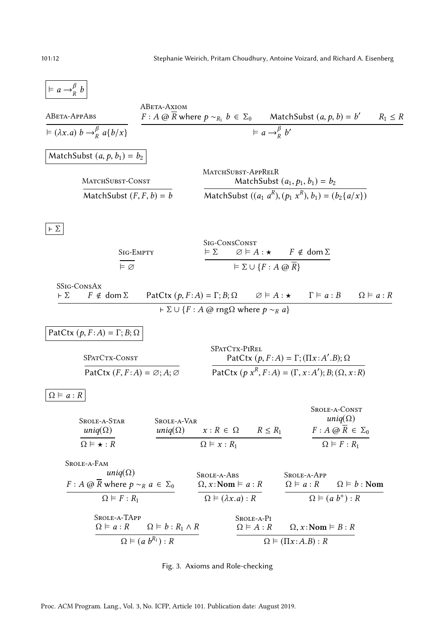<span id="page-11-1"></span>
$$
\models a \rightarrow_R^{\beta} b
$$

$$
\begin{array}{ll}\n\text{ABETA-APPABS} & \text{ABETA-AXIOM} \\
\overline{F : A \otimes \overline{R} \text{ where } p \sim_{R_1} b \in \Sigma_0} & \text{MatchSubst } (a, p, b) = b' \qquad R_1 \leq R \\
\overline{F : A \otimes \overline{R} \text{ where } p \sim_{R_1} b \in \Sigma_0} & \text{MatchSubst } (a, p, b) = b' \qquad R_1 \leq R \\
\end{array}
$$

$$
MatchSubst (a, p, b_1) = b_2
$$

<span id="page-11-0"></span>MATCHSUBST-CONST MatchSubst  $(F, F, b) = b$ MATCHSUBST-APPRELR MatchSubst  $(a_1, p_1, b_1) = b_2$ MatchSubst  $((a_1 \ a^R), (p_1 \ x^R), b_1) = (b_2 \{a/x\})$ 

 $\vdash \Sigma$ 

$$
\begin{array}{ll}\n\text{SiG-ConsConstr} \\
\hline\n\text{SiG-ConsConstr} \\
\hline\n\end{array}\n\qquad\n\begin{array}{ll}\n\text{SiG-ConsConstr} \\
\hline\n\end{array}\n\qquad\n\begin{array}{ll}\n\text{SiG-ConsConstr} \\
\hline\n\end{array}\n\qquad\n\begin{array}{ll}\n\text{SiG-ConsConstr} \\
\hline\n\end{array}\n\qquad\n\begin{array}{ll}\n\text{SiG-ConsConstr} \\
\hline\n\end{array}\n\qquad\n\begin{array}{ll}\n\text{SiG-ConsConstr} \\
\hline\n\end{array}\n\qquad\n\begin{array}{ll}\n\text{SiG-ConsConstr} \\
\hline\n\end{array}\n\qquad\n\begin{array}{ll}\n\text{SiG-ConsConstr} \\
\hline\n\end{array}\n\qquad\n\begin{array}{ll}\n\text{SiG-ConsConstr} \\
\hline\n\end{array}\n\qquad\n\begin{array}{ll}\n\text{SiG-ConsConstr} \\
\hline\n\end{array}\n\qquad\n\begin{array}{ll}\n\text{SiG-ConsConstr} \\
\hline\n\end{array}\n\qquad\n\begin{array}{ll}\n\text{SiG-ConsConstr} \\
\hline\n\end{array}\n\qquad\n\begin{array}{ll}\n\text{SiG-ConsConstr} \\
\hline\n\end{array}\n\qquad\n\begin{array}{ll}\n\text{SiG-ConsConstr} \\
\hline\n\end{array}\n\qquad\n\begin{array}{ll}\n\text{SiG-ConsConstr} \\
\hline\n\end{array}\n\qquad\n\begin{array}{ll}\n\text{SiG-ConsConstr} \\
\hline\n\end{array}\n\qquad\n\begin{array}{ll}\n\text{SiG-ConsConstr} \\
\hline\n\end{array}\n\qquad\n\begin{array}{ll}\n\text{SiG-ConsConstr} \\
\hline\n\end{array}\n\qquad\n\begin{array}{ll}\n\text{SiG-ConsConstr} \\
\hline\n\end{array}\n\qquad\n\begin{array}{ll}\n\text{SiG-ConsConstr} \\
\hline\n\end{array}\n\qquad\n\begin{array}{ll}\n\text{SiG-ConsConstr} \\
\hline\n\end{array}\n\qquad\n\begin{array}{ll}\n\text{SiG-ConsConstr} \\
\hline\n\end{array}\n\qquad\n\begin{array}{ll}\n\text{SiG-ConsConstr} \\
$$

SSig-ConsAx

<span id="page-11-2"></span>
$$
\frac{\vdash \Sigma \qquad F \notin \text{dom } \Sigma \qquad \text{PatCtx } (p, F : A) = \Gamma; B; \Omega \qquad \varnothing \models A : \star \qquad \Gamma \models a : B \qquad \Omega \models a : R}{\vdash \Sigma \cup \{F : A \text{ @ rng } \Omega \text{ where } p \sim_R a\}}
$$

$$
PatCtx (p, F : A) = \Gamma; B; \Omega
$$

|                                                 | SPATCTX-PIREL                                               |
|-------------------------------------------------|-------------------------------------------------------------|
| SPATCTX-CONST                                   | PatCtx $(p, F : A) = \Gamma$ ; $(\Pi x : A'.B)$ ; $\Omega$  |
| PatCtx $(F, F: A) = \emptyset$ ; A; $\emptyset$ | PatCtx $(p x^R, F: A) = (\Gamma, x: A'); B; (\Omega, x: R)$ |

 $\Omega \vDash a : R$ 

<span id="page-11-3"></span>

| SPACE-A-STAR              | SPACE-A-VAR             | SPACE-A-CONST                                                         |                                                                       |
|---------------------------|-------------------------|-----------------------------------------------------------------------|-----------------------------------------------------------------------|
| $uniq(\Omega)$            | $x: R \in \Omega$       | $R \leq R_1$                                                          | $F: A \text{ } \textcircled{R} \text{ } \textcircled{R} \in \Sigma_0$ |
| $\Omega \models \star: R$ | $\Omega \models x: R_1$ | $F: A \text{ } \textcircled{R} \text{ } \textcircled{R} \in \Sigma_0$ |                                                                       |

<span id="page-11-4"></span>
$$
\frac{\text{SROLE-A-FAM}}{F: A \text{ @ } \overline{R} \text{ where } p \sim_R a \in \Sigma_0} \qquad \frac{\text{SROLE-A-Abs}}{\Omega \vDash F: R_1} \qquad \frac{\Omega, x: \text{Nom} \vDash a: R}{\Omega \vDash ( \lambda x. a): R} \qquad \frac{\Omega \vDash a: R}{\Omega \vDash a: R} \qquad \frac{\Omega \vDash a: R}{\Omega \vDash (a b^+): R}
$$
\n
$$
\frac{\text{SROLE-A-TAPP}}{\Omega \vDash a: R} \qquad \frac{\text{SROLE-A-PI}}{\Omega \vDash a: R} \qquad \frac{\text{SROLE-A-PI}}{\Omega \vDash A: R} \qquad \frac{\text{SROLE-A-PI}}{\Omega \vDash A: R} \qquad \frac{\Omega \vDash A: R}{\Omega \vDash ( \Pi x: A.B): R}
$$

<span id="page-11-5"></span>Fig. 3. Axioms and Role-checking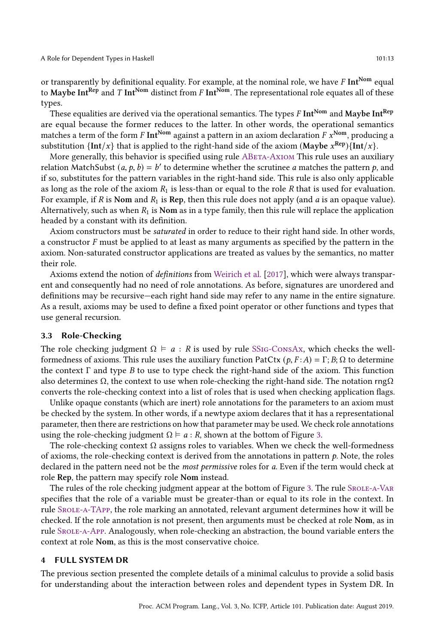or transparently by definitional equality. For example, at the nominal role, we have  $F$  Int<sup>Nom</sup> equal to Maybe Int<sup>Rep</sup> and T Int<sup>Nom</sup> distinct from F Int<sup>Nom</sup>. The representational role equates all of these types.

These equalities are derived via the operational semantics. The types  $F$  Int<sup>Nom</sup> and Maybe Int<sup>Rep</sup> are equal because the former reduces to the latter. In other words, the operational semantics matches a term of the form F Int<sup>Nom</sup> against a pattern in an axiom declaration F  $x^{\text{Nom}}$ , producing a substitution {Int/x} that is applied to the right-hand side of the axiom (Maybe  $x^{\text{Rep}}$ ){Int/x}.

More generally, this behavior is specified using rule ABETA-Axiom This rule uses an auxiliary relation MatchSubst  $(a, p, b) = b'$  to determine whether the scrutinee a matches the pattern p, and if so, substitutes for the pattern variables in the right-hand side. This rule is also only applicable as long as the role of the axiom  $R_1$  is less-than or equal to the role R that is used for evaluation. For example, if R is Nom and  $R_1$  is Rep, then this rule does not apply (and a is an opaque value). Alternatively, such as when  $R_1$  is **Nom** as in a type family, then this rule will replace the application headed by a constant with its definition.

Axiom constructors must be saturated in order to reduce to their right hand side. In other words, a constructor  $F$  must be applied to at least as many arguments as specified by the pattern in the axiom. Non-saturated constructor applications are treated as values by the semantics, no matter their role.

Axioms extend the notion of definitions from [Weirich et al.](#page-28-2) [\[2017\]](#page-28-2), which were always transparent and consequently had no need of role annotations. As before, signatures are unordered and definitions may be recursive–each right hand side may refer to any name in the entire signature. As a result, axioms may be used to define a fixed point operator or other functions and types that use general recursion.

#### 3.3 Role-Checking

The role checking judgment  $\Omega \models a : R$  is used by rule SSIG-ConsAx, which checks the wellformedness of axioms. This rule uses the auxiliary function PatCtx  $(p, F : A) = \Gamma; B; \Omega$  to determine the context  $\Gamma$  and type B to use to type check the right-hand side of the axiom. This function also determines  $\Omega$ , the context to use when role-checking the right-hand side. The notation rng $\Omega$ converts the role-checking context into a list of roles that is used when checking application flags.

Unlike opaque constants (which are inert) role annotations for the parameters to an axiom must be checked by the system. In other words, if a newtype axiom declares that it has a representational parameter, then there are restrictions on how that parameter may be used. We check role annotations using the role-checking judgment  $\Omega \models a : R$ , shown at the bottom of Figure [3.](#page-11-1)

The role-checking context  $\Omega$  assigns roles to variables. When we check the well-formedness of axioms, the role-checking context is derived from the annotations in pattern p. Note, the roles declared in the pattern need not be the most permissive roles for a. Even if the term would check at role Rep, the pattern may specify role Nom instead.

The rules of the role checking judgment appear at the bottom of Figure [3.](#page-11-1) The rule SROLE-A-VAR specifies that the role of a variable must be greater-than or equal to its role in the context. In rule [Srole-a-TApp](#page-11-4), the role marking an annotated, relevant argument determines how it will be checked. If the role annotation is not present, then arguments must be checked at role Nom, as in rule [Srole-a-App](#page-11-5). Analogously, when role-checking an abstraction, the bound variable enters the context at role Nom, as this is the most conservative choice.

#### <span id="page-12-0"></span>4 FULL SYSTEM DR

The previous section presented the complete details of a minimal calculus to provide a solid basis for understanding about the interaction between roles and dependent types in System DR. In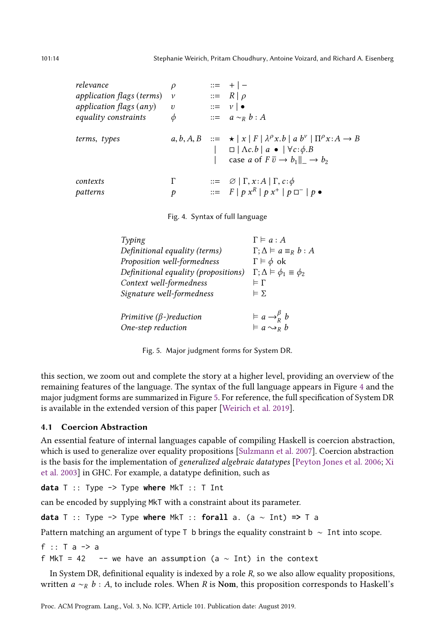| relevance                        | ρ            | $:= - +   -$                                                                                                                                                                                                                      |
|----------------------------------|--------------|-----------------------------------------------------------------------------------------------------------------------------------------------------------------------------------------------------------------------------------|
| <i>application flags (terms)</i> | $\mathcal V$ | $ ::= R   \rho$                                                                                                                                                                                                                   |
| <i>application flags (any)</i>   | $\upsilon$   | $ ::= v   \bullet$                                                                                                                                                                                                                |
| equality constraints             | $\phi$       | $\therefore = a \sim_R b : A$                                                                                                                                                                                                     |
| <i>terms, types</i>              |              | $a, b, A, B \ ::= \star   x   F   \lambda^{\rho} x.b   a b^{\nu}   \Pi^{\rho} x:A \rightarrow B$<br>$ \Box  \Delta c.b  a \bullet   \forall c : \phi.B$<br>  case <i>a</i> of $F \overline{v} \rightarrow b_1    \rightarrow b_2$ |
| contexts                         | Г            | $\equiv \emptyset   \Gamma, x : A   \Gamma, c : \phi$                                                                                                                                                                             |
| patterns                         | p            | $::= F   p x^R   p x^+   p \square^-   p \bullet$                                                                                                                                                                                 |

Fig. 4. Syntax of full language

<span id="page-13-2"></span>

| Typing                               | $\Gamma \models a : A$                                                   |
|--------------------------------------|--------------------------------------------------------------------------|
| Definitional equality (terms)        | $\Gamma; \Delta \models a \equiv_R b : A$                                |
| Proposition well-formedness          | $\Gamma \models \phi$ ok                                                 |
| Definitional equality (propositions) | $\Gamma$ ; $\Delta \models \phi_1 \equiv \phi_2$                         |
| Context well-formedness              | $\models$ $\Gamma$                                                       |
| Signature well-formedness            | $\models \Sigma$                                                         |
|                                      |                                                                          |
| Primitive ( $\beta$ -)reduction      | $\vdash a \rightarrow_R^{\beta} b$<br>$\vdash a \rightarrow_R^{\beta} b$ |
| One-step reduction                   |                                                                          |

Fig. 5. Major judgment forms for System DR.

this section, we zoom out and complete the story at a higher level, providing an overview of the remaining features of the language. The syntax of the full language appears in Figure [4](#page-13-1) and the major judgment forms are summarized in Figure [5.](#page-13-2) For reference, the full specification of System DR is available in the extended version of this paper [\[Weirich et al. 2019\]](#page-28-11).

#### <span id="page-13-0"></span>4.1 Coercion Abstraction

An essential feature of internal languages capable of compiling Haskell is coercion abstraction, which is used to generalize over equality propositions [\[Sulzmann et al.](#page-28-10) [2007\]](#page-28-10). Coercion abstraction is the basis for the implementation of generalized algebraic datatypes [\[Peyton Jones et al.](#page-28-12) [2006;](#page-28-12) [Xi](#page-28-13) [et al. 2003\]](#page-28-13) in GHC. For example, a datatype definition, such as

**data** T :: Type -> Type **where** MkT :: T Int

can be encoded by supplying MkT with a constraint about its parameter.

**data** T :: Type -> Type **where** MkT :: **forall** a. (a ∼ Int) **=>** T a

Pattern matching an argument of type T b brings the equality constraint b ∼ Int into scope.

f ::  $T a \rightarrow a$ 

f MkT = 42 -- we have an assumption (a  $\sim$  Int) in the context

In System DR, definitional equality is indexed by a role R, so we also allow equality propositions, written  $a \sim_R b : A$ , to include roles. When R is Nom, this proposition corresponds to Haskell's

<span id="page-13-1"></span>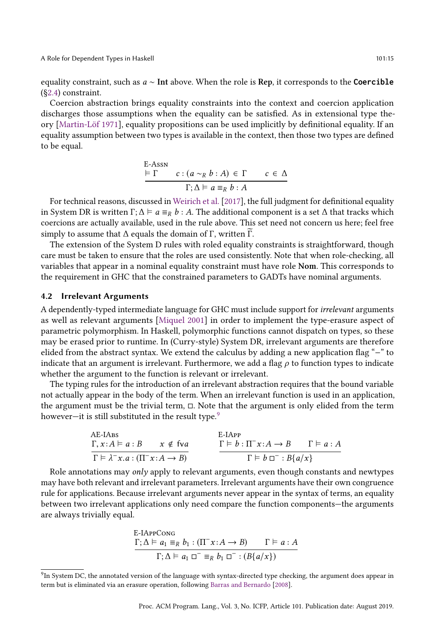equality constraint, such as a ∼ Int above. When the role is Rep, it corresponds to the **Coercible** ([ğ2.4\)](#page-5-1) constraint.

Coercion abstraction brings equality constraints into the context and coercion application discharges those assumptions when the equality can be satisfied. As in extensional type theory [\[Martin-Löf 1971\]](#page-28-14), equality propositions can be used implicitly by definitional equality. If an equality assumption between two types is available in the context, then those two types are defined to be equal.

E-Assn  
\n
$$
\frac{\varepsilon \Gamma}{\Gamma} \quad c : (a \sim_R b : A) \in \Gamma \quad c \in \Delta
$$
\n
$$
\Gamma; \Delta \varepsilon \equiv_R b : A
$$

For technical reasons, discussed in [Weirich et al.](#page-28-2) [\[2017\]](#page-28-2), the full judgment for definitional equality in System DR is written  $\Gamma; \Delta \models a \equiv_R b : A$ . The additional component is a set  $\Delta$  that tracks which coercions are actually available, used in the rule above. This set need not concern us here; feel free simply to assume that  $\Delta$  equals the domain of Γ, written Γ.

The extension of the System D rules with roled equality constraints is straightforward, though care must be taken to ensure that the roles are used consistently. Note that when role-checking, all variables that appear in a nominal equality constraint must have role Nom. This corresponds to the requirement in GHC that the constrained parameters to GADTs have nominal arguments.

#### <span id="page-14-0"></span>4.2 Irrelevant Arguments

A dependently-typed intermediate language for GHC must include support for irrelevant arguments as well as relevant arguments [\[Miquel 2001\]](#page-28-15) in order to implement the type-erasure aspect of parametric polymorphism. In Haskell, polymorphic functions cannot dispatch on types, so these may be erased prior to runtime. In (Curry-style) System DR, irrelevant arguments are therefore elided from the abstract syntax. We extend the calculus by adding a new application flag "−" to indicate that an argument is irrelevant. Furthermore, we add a flag  $\rho$  to function types to indicate whether the argument to the function is relevant or irrelevant.

The typing rules for the introduction of an irrelevant abstraction requires that the bound variable not actually appear in the body of the term. When an irrelevant function is used in an application, the argument must be the trivial term, □. Note that the argument is only elided from the term however—it is still substituted in the result type. $9$ 

A E-IABS  
\n
$$
\Gamma, x:A \vDash a:B \qquad x \notin fva
$$
\n
$$
\Gamma \vDash b:\Pi^{-}x:A \to B \qquad \Gamma \vDash a:A
$$
\n
$$
\Gamma \vDash b \Box^{-}:B\{a/x\}
$$

Role annotations may *only* apply to relevant arguments, even though constants and newtypes may have both relevant and irrelevant parameters. Irrelevant arguments have their own congruence rule for applications. Because irrelevant arguments never appear in the syntax of terms, an equality between two irrelevant applications only need compare the function components—the arguments are always trivially equal.

E-IAPPCong  
\n
$$
\Gamma; \Delta \vDash a_1 \equiv_R b_1 : (\Pi^- x : A \to B) \qquad \Gamma \vDash a : A
$$
\n
$$
\Gamma; \Delta \vDash a_1 \square^- \equiv_R b_1 \square^- : (B\{a/x\})
$$

<span id="page-14-1"></span><sup>&</sup>lt;sup>9</sup>In System DC, the annotated version of the language with syntax-directed type checking, the argument does appear in term but is eliminated via an erasure operation, following [Barras and Bernardo](#page-27-13) [\[2008\]](#page-27-13).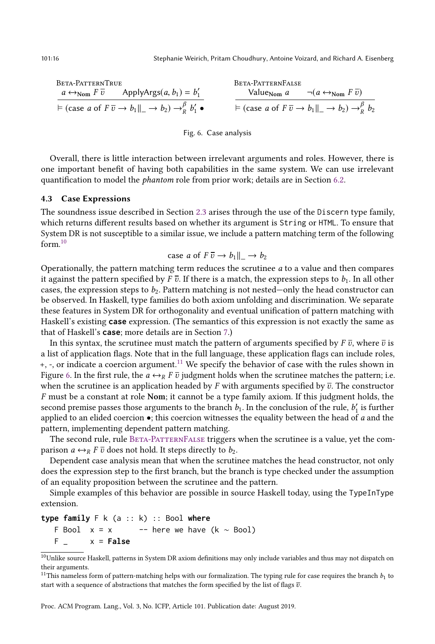<span id="page-15-3"></span>Beta-PatternTrue  $a \leftrightarrow_{\text{Nom}} F \overline{v}$  ApplyArgs $(a, b_1) = b'_1$  $\vDash$  (case *a* of  $F \overline{\upsilon} \to b_1 || \_ \rightarrow b_2$ )  $\to^{\beta}_{R} b'_1 \bullet$ Beta-PatternFalse Value<sub>Nom</sub>  $a \qquad \neg (a \leftrightarrow_{\text{Nom}} F \overline{v})$  $\vDash$  (case *a* of  $F \overline{v} \to b_1 || \to b_2$ )  $\to_R^{\beta} b_2$ 

#### <span id="page-15-4"></span>Fig. 6. Case analysis

Overall, there is little interaction between irrelevant arguments and roles. However, there is one important benefit of having both capabilities in the same system. We can use irrelevant quantification to model the phantom role from prior work; details are in Section [6.2.](#page-21-0)

#### <span id="page-15-0"></span>4.3 Case Expressions

The soundness issue described in Section [2.3](#page-4-0) arises through the use of the Discern type family, which returns different results based on whether its argument is String or HTML. To ensure that System DR is not susceptible to a similar issue, we include a pattern matching term of the following form.[10](#page-15-1)

# case *a* of  $F \overline{v} \rightarrow b_1 || \rightarrow b_2$

Operationally, the pattern matching term reduces the scrutinee  $a$  to a value and then compares it against the pattern specified by F  $\bar{v}$ . If there is a match, the expression steps to  $b_1$ . In all other cases, the expression steps to  $b_2$ . Pattern matching is not nested—only the head constructor can be observed. In Haskell, type families do both axiom unfolding and discrimination. We separate these features in System DR for orthogonality and eventual unification of pattern matching with Haskell's existing **case** expression. (The semantics of this expression is not exactly the same as that of Haskell's **case**; more details are in Section [7.](#page-24-0))

In this syntax, the scrutinee must match the pattern of arguments specified by  $F\bar{\nu}$ , where  $\bar{\nu}$  is a list of application flags. Note that in the full language, these application flags can include roles,  $+,$ , or indicate a coercion argument.<sup>[11](#page-15-2)</sup> We specify the behavior of case with the rules shown in Figure [6.](#page-15-3) In the first rule, the  $a \leftrightarrow_R F \overline{v}$  judgment holds when the scrutinee matches the pattern; i.e. when the scrutinee is an application headed by F with arguments specified by  $\bar{v}$ . The constructor F must be a constant at role Nom; it cannot be a type family axiom. If this judgment holds, the second premise passes those arguments to the branch  $b_1$ . In the conclusion of the rule,  $b'_1$  is further applied to an elided coercion  $\bullet$ ; this coercion witnesses the equality between the head of a and the pattern, implementing dependent pattern matching.

The second rule, rule BETA-PATTERNFALSE triggers when the scrutinee is a value, yet the comparison  $a \leftrightarrow_R F \overline{v}$  does not hold. It steps directly to  $b_2$ .

Dependent case analysis mean that when the scrutinee matches the head constructor, not only does the expression step to the first branch, but the branch is type checked under the assumption of an equality proposition between the scrutinee and the pattern.

Simple examples of this behavior are possible in source Haskell today, using the TypeInType extension.

**type family** F k (a :: k) :: Bool **where** F Bool  $x = x$  -- here we have (k ~ Bool)

 $F_ - x = False$ 

<span id="page-15-1"></span> $^{10}$ Unlike source Haskell, patterns in System DR axiom definitions may only include variables and thus may not dispatch on their arguments.

<span id="page-15-2"></span><sup>&</sup>lt;sup>11</sup>This nameless form of pattern-matching helps with our formalization. The typing rule for case requires the branch  $b_1$  to start with a sequence of abstractions that matches the form specified by the list of flags  $\overline{v}$ .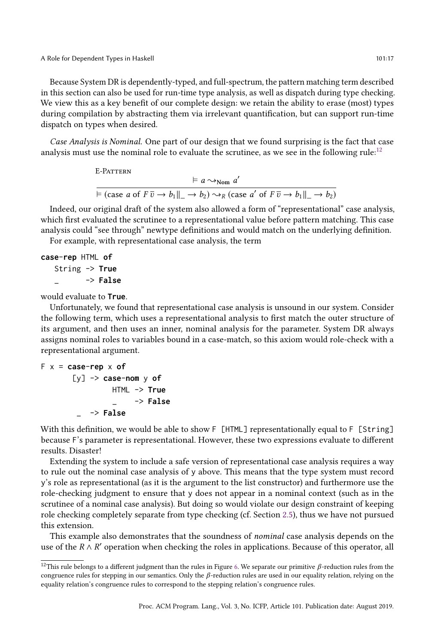Because System DR is dependently-typed, and full-spectrum, the pattern matching term described in this section can also be used for run-time type analysis, as well as dispatch during type checking. We view this as a key benefit of our complete design: we retain the ability to erase (most) types during compilation by abstracting them via irrelevant quantification, but can support run-time dispatch on types when desired.

Case Analysis is Nominal. One part of our design that we found surprising is the fact that case analysis must use the nominal role to evaluate the scrutinee, as we see in the following rule: $12$ 

```
E-Pattern
                                                    \vDash a \rightarrow_{\text{Nom}} a'
```
 $\models$  (case *a* of  $F \overline{v} \to b_1 || \rightarrow b_2$ )  $\leadsto_R$  (case *a'* of  $F \overline{v} \to b_1 || \rightarrow b_2$ )

Indeed, our original draft of the system also allowed a form of "representational" case analysis, which first evaluated the scrutinee to a representational value before pattern matching. This case analysis could "see through" newtype definitions and would match on the underlying definition.

For example, with representational case analysis, the term

```
case-rep HTML of
   String -> True
          _ -> False
```
would evaluate to **True**.

Unfortunately, we found that representational case analysis is unsound in our system. Consider the following term, which uses a representational analysis to first match the outer structure of its argument, and then uses an inner, nominal analysis for the parameter. System DR always assigns nominal roles to variables bound in a case-match, so this axiom would role-check with a representational argument.

```
F x = case-rep x of
       [y] -> case-nom y of
                HTML -> True
               _ -> False
         _ -> False
```
With this definition, we would be able to show F [HTML] representationally equal to F [String] because F's parameter is representational. However, these two expressions evaluate to different results. Disaster!

Extending the system to include a safe version of representational case analysis requires a way to rule out the nominal case analysis of y above. This means that the type system must record y's role as representational (as it is the argument to the list constructor) and furthermore use the role-checking judgment to ensure that y does not appear in a nominal context (such as in the scrutinee of a nominal case analysis). But doing so would violate our design constraint of keeping role checking completely separate from type checking (cf. Section [2.5\)](#page-5-2), thus we have not pursued this extension.

This example also demonstrates that the soundness of nominal case analysis depends on the use of the  $R \wedge R'$  operation when checking the roles in applications. Because of this operator, all

<span id="page-16-0"></span><sup>&</sup>lt;sup>12</sup>This rule belongs to a different judgment than the rules in Figure [6.](#page-15-3) We separate our primitive β-reduction rules from the congruence rules for stepping in our semantics. Only the β-reduction rules are used in our equality relation, relying on the equality relation's congruence rules to correspond to the stepping relation's congruence rules.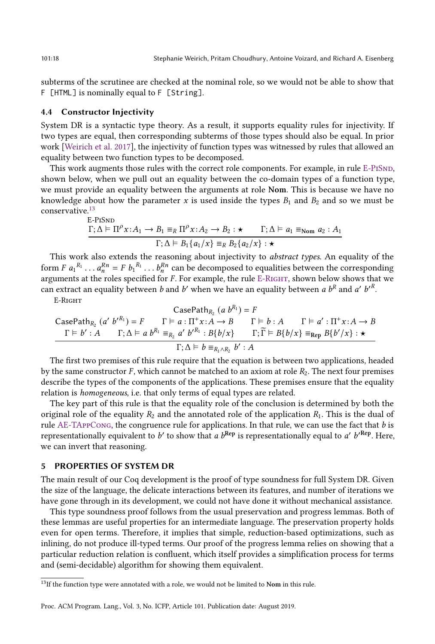subterms of the scrutinee are checked at the nominal role, so we would not be able to show that F [HTML] is nominally equal to F [String].

#### <span id="page-17-0"></span>4.4 Constructor Injectivity

System DR is a syntactic type theory. As a result, it supports equality rules for injectivity. If two types are equal, then corresponding subterms of those types should also be equal. In prior work [\[Weirich et al.](#page-28-2) [2017\]](#page-28-2), the injectivity of function types was witnessed by rules that allowed an equality between two function types to be decomposed.

This work augments those rules with the correct role components. For example, in rule E-PISND, shown below, when we pull out an equality between the co-domain types of a function type, we must provide an equality between the arguments at role Nom. This is because we have no knowledge about how the parameter x is used inside the types  $B_1$  and  $B_2$  and so we must be conservative.<sup>[13](#page-17-3)</sup>

<span id="page-17-2"></span>E-PISND  
\n
$$
\Gamma; \Delta \models \Pi^{\rho} x : A_1 \rightarrow B_1 \equiv_R \Pi^{\rho} x : A_2 \rightarrow B_2 : \star \qquad \Gamma; \Delta \models a_1 \equiv_{\text{Nom}} a_2 : A_1
$$
\n
$$
\Gamma; \Delta \models B_1 \{ a_1/x \} \equiv_R B_2 \{ a_2/x \} : \star
$$

This work also extends the reasoning about injectivity to *abstract types*. An equality of the form  $F a_1^{R_1} \ldots a_n^{R_n} = F b_1^{R_1} \ldots b_n^{R_n}$  can be decomposed to equalities between the corresponding arguments at the roles specified for F. For example, the rule E-RIGHT, shown below shows that we can extract an equality between  $b$  and  $b'$  when we have an equality between  $a\ b^R$  and  $a'\ b'^R$ .

E-Right

<span id="page-17-4"></span>CasePath<sub>R<sub>2</sub></sub> 
$$
(a' b'^{R_1}) = F
$$
  
\n
$$
\Gamma \models b': A \qquad \Gamma; \Delta \models a b^{R_1} \equiv_{R_2} a' b'^{R_1} : B\{b/x\} \qquad \Gamma \models B\{b/x\} \equiv_{\text{Rep}} B\{b'/x\} : \star
$$
\n
$$
\Gamma \models b': A \qquad \Gamma; \Delta \models a b^{R_1} \equiv_{R_2} a' b'^{R_1} : B\{b/x\} \qquad \Gamma; \widetilde{\Gamma} \models B\{b/x\} \equiv_{\text{Rep}} B\{b'/x\} : \star
$$
\n
$$
\Gamma; \Delta \models b \equiv_{R_1 \wedge R_2} b': A
$$

The first two premises of this rule require that the equation is between two applications, headed by the same constructor  $F$ , which cannot be matched to an axiom at role  $R_2$ . The next four premises describe the types of the components of the applications. These premises ensure that the equality relation is homogeneous, i.e. that only terms of equal types are related.

The key part of this rule is that the equality role of the conclusion is determined by both the original role of the equality  $R_2$  and the annotated role of the application  $R_1$ . This is the dual of rule AE-TAPPCong, the congruence rule for applications. In that rule, we can use the fact that  $b$  is representationally equivalent to  $b'$  to show that a  $b^{\rm Rep}$  is representationally equal to a'  $b'^{\rm Rep}$ . Here, we can invert that reasoning.

#### <span id="page-17-1"></span>5 PROPERTIES OF SYSTEM DR

The main result of our Coq development is the proof of type soundness for full System DR. Given the size of the language, the delicate interactions between its features, and number of iterations we have gone through in its development, we could not have done it without mechanical assistance.

This type soundness proof follows from the usual preservation and progress lemmas. Both of these lemmas are useful properties for an intermediate language. The preservation property holds even for open terms. Therefore, it implies that simple, reduction-based optimizations, such as inlining, do not produce ill-typed terms. Our proof of the progress lemma relies on showing that a particular reduction relation is confluent, which itself provides a simplification process for terms and (semi-decidable) algorithm for showing them equivalent.

<span id="page-17-3"></span> $^{13}$  If the function type were annotated with a role, we would not be limited to Nom in this rule.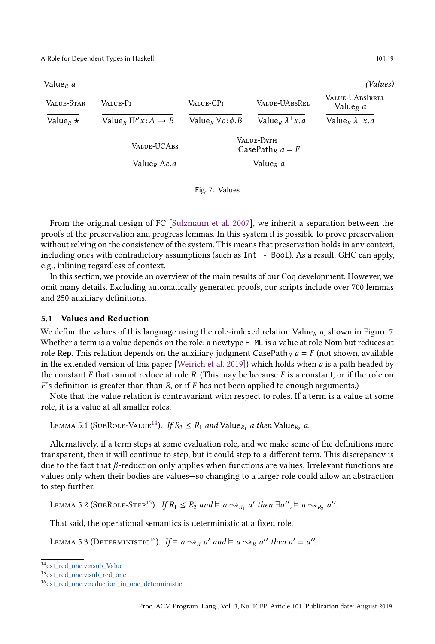<span id="page-18-0"></span>

| Value <sub>R</sub> $a^{\dagger}$ |                                                        |                                       |                                                                       | (Values)                                  |
|----------------------------------|--------------------------------------------------------|---------------------------------------|-----------------------------------------------------------------------|-------------------------------------------|
| VALUE-STAR                       | Value-Pi-                                              | VALUE-CPI                             | VALUE-UABSREL                                                         | VALUE-UABSIRREL<br>Value <sub>R</sub> $a$ |
| Value <sub>R</sub> $\star$       | Value <sub>R</sub> $\Pi^{\rho} x:A \to B$              | Value <sub>R</sub> $\forall c:\phi.B$ | Value <sub>R</sub> $\lambda^+ x.a$                                    | Value <sub>R</sub> $\lambda^{-}x.a$       |
|                                  | VALUE-UCABS<br>Value <sub>R</sub> $\Lambda$ <i>c.a</i> |                                       | VALUE-PATH<br>CasePath <sub>R</sub> $a = F$<br>Value <sub>R</sub> $a$ |                                           |

Fig. 7. Values

From the original design of FC [\[Sulzmann et al.](#page-28-10) [2007\]](#page-28-10), we inherit a separation between the proofs of the preservation and progress lemmas. In this system it is possible to prove preservation without relying on the consistency of the system. This means that preservation holds in any context, including ones with contradictory assumptions (such as Int  $~\sim~$  Bool). As a result, GHC can apply, e.g., inlining regardless of context.

In this section, we provide an overview of the main results of our Coq development. However, we omit many details. Excluding automatically generated proofs, our scripts include over 700 lemmas and 250 auxiliary definitions.

#### 5.1 Values and Reduction

We define the values of this language using the role-indexed relation Value<sub>R</sub> a, shown in Figure [7.](#page-18-0) Whether a term is a value depends on the role: a newtype HTML is a value at role Nom but reduces at role Rep. This relation depends on the auxiliary judgment CasePath<sub>R</sub>  $a = F$  (not shown, available in the extended version of this paper [\[Weirich et al.](#page-28-11) [2019\]](#page-28-11)) which holds when a is a path headed by the constant F that cannot reduce at role R. (This may be because F is a constant, or if the role on  $F$ 's definition is greater than than R, or if F has not been applied to enough arguments.)

Note that the value relation is contravariant with respect to roles. If a term is a value at some role, it is a value at all smaller roles.

```
14</sup>). If R_2 \le R_1 and Value_{R_1} a then Value_{R_2} a.
```
Alternatively, if a term steps at some evaluation role, and we make some of the definitions more transparent, then it will continue to step, but it could step to a different term. This discrepancy is due to the fact that  $β$ -reduction only applies when functions are values. Irrelevant functions are values only when their bodies are values-so changing to a larger role could allow an abstraction to step further.

LEMMA 5.2 (SUBROLE-STEP<sup>[15](#page-18-2)</sup>). If  $R_1 \leq R_2$  and  $\models a \sim_{R_1} a'$  then  $\exists a'', \models a \sim_{R_2} a''.$ 

That said, the operational semantics is deterministic at a fixed role.

LEMMA 5.3 (DETERMINISTIC<sup>[16](#page-18-3)</sup>). If  $\models a \leadsto_R a'$  and  $\models a \leadsto_R a''$  then  $a' = a''$ .

<span id="page-18-1"></span><sup>&</sup>lt;sup>14</sup>[ext\\_red\\_one.v:nsub\\_Value](ext_red_one.v: nsub_Value)

<span id="page-18-2"></span><sup>15</sup>[ext\\_red\\_one.v:sub\\_red\\_one](ext_red_one.v:sub_red_one)

<span id="page-18-3"></span><sup>16</sup>[ext\\_red\\_one.v:reduction\\_in\\_one\\_deterministic](ext_red_one.v:reduction_in_one_deterministic)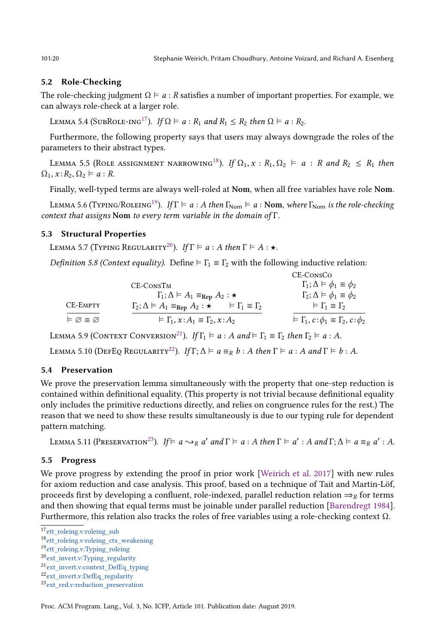# 5.2 Role-Checking

The role-checking judgment  $\Omega \models a : R$  satisfies a number of important properties. For example, we can always role-check at a larger role.

LEMMA 5.4 (SUBROLE-ING<sup>[17](#page-19-0)</sup>). If  $\Omega \models a : R_1$  and  $R_1 \leq R_2$  then  $\Omega \models a : R_2$ .

Furthermore, the following property says that users may always downgrade the roles of the parameters to their abstract types.

LEMMA 5.5 (ROLE ASSIGNMENT NARROWING<sup>[18](#page-19-1)</sup>). If  $\Omega_1$ ,  $x : R_1, \Omega_2 \models a : R$  and  $R_2 \le R_1$  then  $\Omega_1, x : R_2, \Omega_2 \models a : R$ .

Finally, well-typed terms are always well-roled at Nom, when all free variables have role Nom.

LEMMA 5.6 (TYPING/ROLEING<sup>[19](#page-19-2)</sup>). If  $\Gamma \models a : A$  then  $\Gamma_{\text{Nom}} \models a : \text{Nom}$ , where  $\Gamma_{\text{Nom}}$  is the role-checking context that assigns Nom to every term variable in the domain of Γ.

#### 5.3 Structural Properties

LEMMA 5.7 (TYPING REGULARITY<sup>[20](#page-19-3)</sup>). If  $\Gamma \vDash a : A$  then  $\Gamma \vDash A : \star$ .

*Definition 5.8 (Context equality).* Define  $\models \Gamma_1 \equiv \Gamma_2$  with the following inductive relation:

|                                          |                                                                                                         | CE-CONSCO                                              |
|------------------------------------------|---------------------------------------------------------------------------------------------------------|--------------------------------------------------------|
|                                          | CE-CONSTM                                                                                               | $\Gamma_1$ ; $\Delta \models \phi_1 \equiv \phi_2$     |
|                                          | $\Gamma_1$ ; $\Delta \models A_1 \equiv_{\text{Rep}} A_2 : \star$                                       | $\Gamma_2$ ; $\Delta \models \phi_1 \equiv \phi_2$     |
| CE-EMPTY                                 | $\Gamma_2$ ; $\Delta \models A_1 \equiv_{\text{Rep}} A_2 : \star$<br>$\models \Gamma_1 \equiv \Gamma_2$ | $\models \Gamma_1 \equiv \Gamma_2$                     |
| $\models \varnothing \equiv \varnothing$ | $\models \Gamma_1, x:A_1 \equiv \Gamma_2, x:A_2$                                                        | $\models \Gamma_1, c:\phi_1 \equiv \Gamma_2, c:\phi_2$ |

LEMMA 5.9 (CONTEXT CONVERSION<sup>[21](#page-19-4)</sup>). If  $\Gamma_1 \vDash a : A$  and  $\vDash \Gamma_1 \equiv \Gamma_2$  then  $\Gamma_2 \vDash a : A$ .

LEMMA 5.10 (DEFEQ REGULARITY<sup>[22](#page-19-5)</sup>). If  $\Gamma; \Delta \models a \equiv_R b : A$  then  $\Gamma \models a : A$  and  $\Gamma \models b : A$ .

#### 5.4 Preservation

We prove the preservation lemma simultaneously with the property that one-step reduction is contained within definitional equality. (This property is not trivial because definitional equality only includes the primitive reductions directly, and relies on congruence rules for the rest.) The reason that we need to show these results simultaneously is due to our typing rule for dependent pattern matching.

LEMMA 5.11 (PRESERVATION<sup>[23](#page-19-6)</sup>). If  $\models a \leadsto_R a'$  and  $\Gamma \models a : A$  then  $\Gamma \models a' : A$  and  $\Gamma; \Delta \models a \equiv_R a' : A$ .

#### 5.5 Progress

We prove progress by extending the proof in prior work [\[Weirich et al.](#page-28-2) [2017\]](#page-28-2) with new rules for axiom reduction and case analysis. This proof, based on a technique of Tait and Martin-Löf, proceeds first by developing a confluent, role-indexed, parallel reduction relation  $\Rightarrow_R$  for terms and then showing that equal terms must be joinable under parallel reduction [\[Barendregt 1984\]](#page-27-14). Furthermore, this relation also tracks the roles of free variables using a role-checking context  $\Omega$ .

<span id="page-19-0"></span><sup>17</sup>[ett\\_roleing.v:roleing\\_sub](ett_roleing.v:roleing_sub)

<span id="page-19-1"></span><sup>18</sup>[ett\\_roleing.v:roleing\\_ctx\\_weakening](ett_roleing.v:roleing_ctx_weakening)

<span id="page-19-2"></span><sup>19</sup>[ett\\_roleing.v:Typing\\_roleing](ett_roleing.v:Typing_roleing)

<span id="page-19-3"></span><sup>20</sup>[ext\\_invert.v:Typing\\_regularity](ext_invert.v:Typing_regularity)

<span id="page-19-4"></span><sup>21</sup>[ext\\_invert.v:context\\_DefEq\\_typing](ext_invert.v:context_DefEq_typing)

<span id="page-19-5"></span><sup>22</sup>[ext\\_invert.v:DefEq\\_regularity](ext_invert.v:DefEq_regularity)

<span id="page-19-6"></span><sup>23</sup>[ext\\_red.v:reduction\\_preservation](ext_red.v: reduction_preservation)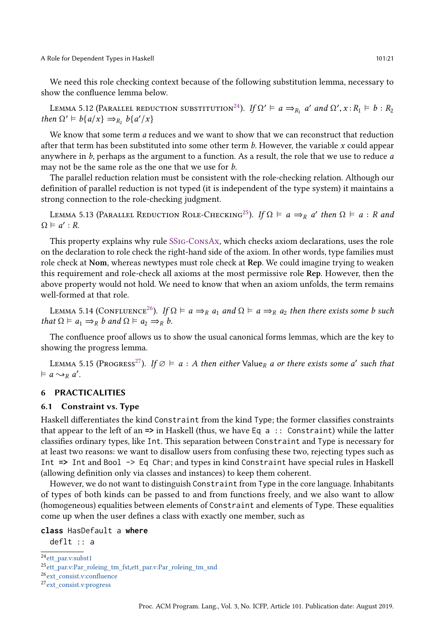A Role for Dependent Types in Haskell 101:21 and 101:21 and 101:21 and 101:21 and 101:21 and 101:21 and 101:21

We need this role checking context because of the following substitution lemma, necessary to show the confluence lemma below.

LEMMA 5.12 (PARALLEL REDUCTION SUBSTITUTION<sup>[24](#page-20-1)</sup>). If  $\Omega' \vDash a \Rightarrow_{R_1} a'$  and  $\Omega', x : R_1 \vDash b : R_2$ then  $\Omega' \models b\{a/x\} \Rightarrow_{R_2} b\{a'/x\}$ 

We know that some term a reduces and we want to show that we can reconstruct that reduction after that term has been substituted into some other term  $b$ . However, the variable  $x$  could appear anywhere in  $b$ , perhaps as the argument to a function. As a result, the role that we use to reduce  $a$ may not be the same role as the one that we use for *b*.

The parallel reduction relation must be consistent with the role-checking relation. Although our definition of parallel reduction is not typed (it is independent of the type system) it maintains a strong connection to the role-checking judgment.

LEMMA 5.13 (PARALLEL REDUCTION ROLE-CHECKING<sup>[25](#page-20-2)</sup>). If  $\Omega \vDash a \Rightarrow_R a'$  then  $\Omega \vDash a : R$  and  $\Omega \models a': R$ .

This property explains why rule [SSig-ConsAx](#page-11-2), which checks axiom declarations, uses the role on the declaration to role check the right-hand side of the axiom. In other words, type families must role check at Nom, whereas newtypes must role check at Rep. We could imagine trying to weaken this requirement and role-check all axioms at the most permissive role Rep. However, then the above property would not hold. We need to know that when an axiom unfolds, the term remains well-formed at that role.

LEMMA 5.14 (CONFLUENCE<sup>[26](#page-20-3)</sup>). If  $\Omega \models a \Rightarrow_R a_1$  and  $\Omega \models a \Rightarrow_R a_2$  then there exists some b such that  $\Omega \vDash a_1 \Rightarrow_R b$  and  $\Omega \vDash a_2 \Rightarrow_R b$ .

The confluence proof allows us to show the usual canonical forms lemmas, which are the key to showing the progress lemma.

LEMMA 5.15 (PROGRESS<sup>[27](#page-20-4)</sup>). If  $\varnothing \vDash a : A$  then either Value<sub>R</sub> a or there exists some a' such that  $\vDash a \rightarrow_R a'.$ 

#### 6 PRACTICALITIES

#### <span id="page-20-0"></span>6.1 Constraint vs. Type

Haskell differentiates the kind Constraint from the kind Type; the former classifies constraints that appear to the left of an **=>** in Haskell (thus, we have Eq a :: Constraint) while the latter classifies ordinary types, like Int. This separation between Constraint and Type is necessary for at least two reasons: we want to disallow users from confusing these two, rejecting types such as Int **=>** Int and Bool -> Eq Char; and types in kind Constraint have special rules in Haskell (allowing definition only via classes and instances) to keep them coherent.

However, we do not want to distinguish Constraint from Type in the core language. Inhabitants of types of both kinds can be passed to and from functions freely, and we also want to allow (homogeneous) equalities between elements of Constraint and elements of Type. These equalities come up when the user defines a class with exactly one member, such as

**class** HasDefault a **where**

deflt :: a

<span id="page-20-1"></span><sup>24</sup>[ett\\_par.v:subst1](ett_par.v:subst1)

<span id="page-20-2"></span><sup>25</sup>[ett\\_par.v:Par\\_roleing\\_tm\\_fst,](ett_par.v:Par_roleing_tm_fst)[ett\\_par.v:Par\\_roleing\\_tm\\_snd](ett_par.v:Par_roleing_tm_snd)

<span id="page-20-3"></span><sup>&</sup>lt;sup>26</sup>[ext\\_consist.v:confluence](ext_consist.v:confluence)

<span id="page-20-4"></span><sup>27</sup>[ext\\_consist.v:progress](ext_consist.v:progress)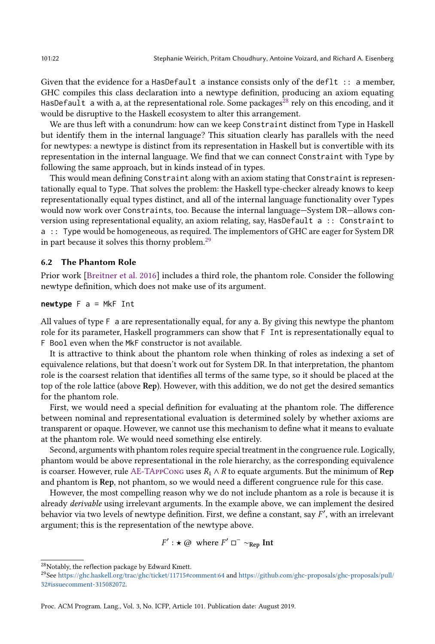Given that the evidence for a HasDefault a instance consists only of the deflt :: a member, GHC compiles this class declaration into a newtype definition, producing an axiom equating HasDefault a with a, at the representational role. Some packages<sup>[28](#page-21-1)</sup> rely on this encoding, and it would be disruptive to the Haskell ecosystem to alter this arrangement.

We are thus left with a conundrum: how can we keep Constraint distinct from Type in Haskell but identify them in the internal language? This situation clearly has parallels with the need for newtypes: a newtype is distinct from its representation in Haskell but is convertible with its representation in the internal language. We find that we can connect Constraint with Type by following the same approach, but in kinds instead of in types.

This would mean defining Constraint along with an axiom stating that Constraint is representationally equal to Type. That solves the problem: the Haskell type-checker already knows to keep representationally equal types distinct, and all of the internal language functionality over Types would now work over Constraints, too. Because the internal language-System DR-allows conversion using representational equality, an axiom relating, say, HasDefault a :: Constraint to a :: Type would be homogeneous, as required. The implementors of GHC are eager for System DR in part because it solves this thorny problem.<sup>[29](#page-21-2)</sup>

#### <span id="page-21-0"></span>6.2 The Phantom Role

Prior work [\[Breitner et al.](#page-27-0) [2016\]](#page-27-0) includes a third role, the phantom role. Consider the following newtype definition, which does not make use of its argument.

#### **newtype** F a = MkF Int

All values of type F a are representationally equal, for any a. By giving this newtype the phantom role for its parameter, Haskell programmers can show that F Int is representationally equal to F Bool even when the MkF constructor is not available.

It is attractive to think about the phantom role when thinking of roles as indexing a set of equivalence relations, but that doesn't work out for System DR. In that interpretation, the phantom role is the coarsest relation that identifies all terms of the same type, so it should be placed at the top of the role lattice (above Rep). However, with this addition, we do not get the desired semantics for the phantom role.

First, we would need a special definition for evaluating at the phantom role. The difference between nominal and representational evaluation is determined solely by whether axioms are transparent or opaque. However, we cannot use this mechanism to define what it means to evaluate at the phantom role. We would need something else entirely.

Second, arguments with phantom roles require special treatment in the congruence rule. Logically, phantom would be above representational in the role hierarchy, as the corresponding equivalence is coarser. However, rule [AE-TAppCong](#page-7-7) uses  $R_1 \wedge R$  to equate arguments. But the minimum of **Rep** and phantom is Rep, not phantom, so we would need a different congruence rule for this case.

However, the most compelling reason why we do not include phantom as a role is because it is already derivable using irrelevant arguments. In the example above, we can implement the desired behavior via two levels of newtype definition. First, we define a constant, say F', with an irrelevant argument; this is the representation of the newtype above.

 $F': \star \omega$  where  $F' \square^- \sim_{\text{Rep}} \text{Int}$ 

<span id="page-21-1"></span> $^{28}\rm{Notably,}$  the reflection package by Edward Kmett.

<span id="page-21-2"></span><sup>29</sup>See <https://ghc.haskell.org/trac/ghc/ticket/11715#comment:64> and [https://github.com/ghc-proposals/ghc-proposals/pull/](https://github.com/ghc-proposals/ghc-proposals/pull/32#issuecomment-315082072) [32#issuecomment-315082072.](https://github.com/ghc-proposals/ghc-proposals/pull/32#issuecomment-315082072)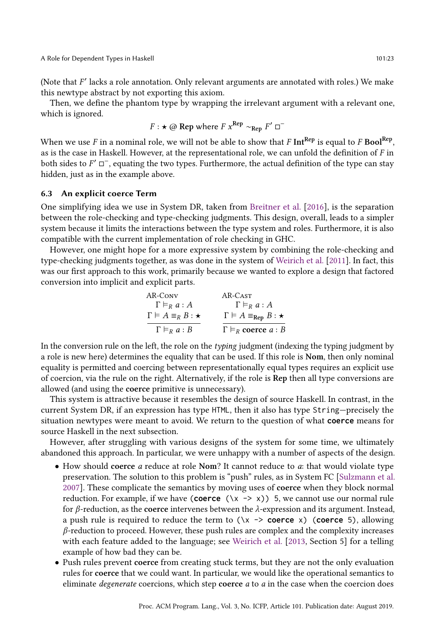(Note that F' lacks a role annotation. Only relevant arguments are annotated with roles.) We make this newtype abstract by not exporting this axiom.

Then, we define the phantom type by wrapping the irrelevant argument with a relevant one, which is ignored.

$$
F: \star \textcircled{a}
$$
 Rep where  $F x^{\text{Rep}} \sim_{\text{Rep}} F' \square$ 

When we use F in a nominal role, we will not be able to show that F  $\mathrm{Int}^{\mathrm{Rep}}$  is equal to F  $\mathrm{Bool}^{\mathrm{Rep}},$ as is the case in Haskell. However, at the representational role, we can unfold the definition of F in both sides to  $F' \sqcup^{\!\!\top}$ , equating the two types. Furthermore, the actual definition of the type can stay hidden, just as in the example above.

#### <span id="page-22-0"></span>6.3 An explicit coerce Term

One simplifying idea we use in System DR, taken from [Breitner et al.](#page-27-0) [\[2016\]](#page-27-0), is the separation between the role-checking and type-checking judgments. This design, overall, leads to a simpler system because it limits the interactions between the type system and roles. Furthermore, it is also compatible with the current implementation of role checking in GHC.

However, one might hope for a more expressive system by combining the role-checking and type-checking judgments together, as was done in the system of [Weirich et al.](#page-28-9) [\[2011\]](#page-28-9). In fact, this was our first approach to this work, primarily because we wanted to explore a design that factored conversion into implicit and explicit parts.

AR-Conv  
\n
$$
\Gamma \vDash_R a : A
$$
  
\n $\Gamma \vDash A \equiv_R B : \star$   
\n $\Gamma \vDash_R a : B$   
\n $\Gamma \vDash_R \text{cefree } a : B$   
\n $\Gamma \vDash_R \text{cefree } a : B$ 

In the conversion rule on the left, the role on the typing judgment (indexing the typing judgment by a role is new here) determines the equality that can be used. If this role is Nom, then only nominal equality is permitted and coercing between representationally equal types requires an explicit use of coercion, via the rule on the right. Alternatively, if the role is Rep then all type conversions are allowed (and using the coerce primitive is unnecessary).

This system is attractive because it resembles the design of source Haskell. In contrast, in the current System DR, if an expression has type HTML, then it also has type String-precisely the situation newtypes were meant to avoid. We return to the question of what **coerce** means for source Haskell in the next subsection.

However, after struggling with various designs of the system for some time, we ultimately abandoned this approach. In particular, we were unhappy with a number of aspects of the design.

- How should coerce a reduce at role Nom? It cannot reduce to a: that would violate type preservation. The solution to this problem is "push" rules, as in System FC [\[Sulzmann et al.](#page-28-10) [2007\]](#page-28-10). These complicate the semantics by moving uses of coerce when they block normal reduction. For example, if we have (coerce  $(\x \rightarrow x)$ ) 5, we cannot use our normal rule for β-reduction, as the coerce intervenes between the  $\lambda$ -expression and its argument. Instead, a push rule is required to reduce the term to  $(\x \rightarrow \text{coerce } x)$  (coerce 5), allowing  $\beta$ -reduction to proceed. However, these push rules are complex and the complexity increases with each feature added to the language; see [Weirich et al.](#page-28-1) [\[2013,](#page-28-1) Section 5] for a telling example of how bad they can be.
- Push rules prevent coerce from creating stuck terms, but they are not the only evaluation rules for coerce that we could want. In particular, we would like the operational semantics to eliminate *degenerate* coercions, which step coerce  $a$  to  $a$  in the case when the coercion does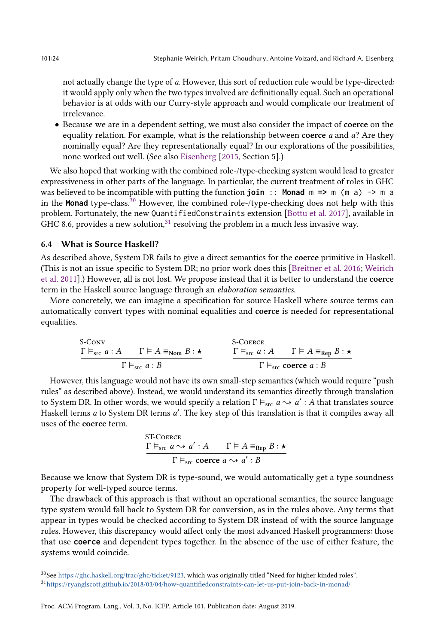not actually change the type of a. However, this sort of reduction rule would be type-directed: it would apply only when the two types involved are definitionally equal. Such an operational behavior is at odds with our Curry-style approach and would complicate our treatment of irrelevance.

• Because we are in a dependent setting, we must also consider the impact of coerce on the equality relation. For example, what is the relationship between coerce  $a$  and  $a$ ? Are they nominally equal? Are they representationally equal? In our explorations of the possibilities, none worked out well. (See also [Eisenberg](#page-27-15) [\[2015,](#page-27-15) Section 5].)

We also hoped that working with the combined role-/type-checking system would lead to greater expressiveness in other parts of the language. In particular, the current treatment of roles in GHC was believed to be incompatible with putting the function **join** :: **Monad** m **=>** m (m a) -> m a in the **Monad** type-class.[30](#page-23-1) However, the combined role-/type-checking does not help with this problem. Fortunately, the new QuantifiedConstraints extension [\[Bottu et al.](#page-27-16) [2017\]](#page-27-16), available in GHC 8.6, provides a new solution,  $31$  resolving the problem in a much less invasive way.

#### <span id="page-23-0"></span>6.4 What is Source Haskell?

As described above, System DR fails to give a direct semantics for the coerce primitive in Haskell. (This is not an issue specific to System DR; no prior work does this [\[Breitner et al.](#page-27-0) [2016;](#page-27-0) [Weirich](#page-28-9) [et al.](#page-28-9) [2011\]](#page-28-9).) However, all is not lost. We propose instead that it is better to understand the coerce term in the Haskell source language through an elaboration semantics.

More concretely, we can imagine a specification for source Haskell where source terms can automatically convert types with nominal equalities and coerce is needed for representational equalities.

S-Conv  
\n
$$
\Gamma \vDash_{src} a : A
$$
  $\Gamma \vDash A \equiv_{\text{Nom}} B : \star$   $\qquad \qquad \frac{\text{S-CORCE}}{\Gamma \vDash_{src} a : A}$   $\Gamma \vDash A \equiv_{\text{Rep}} B : \star$   
\n $\Gamma \vDash_{src} \text{coerce } a : B$ 

However, this language would not have its own small-step semantics (which would require "push" rulesž as described above). Instead, we would understand its semantics directly through translation to System DR. In other words, we would specify a relation  $\Gamma \vDash_{\textsf{src}} a \rightsquigarrow a': A$  that translates source Haskell terms a to System DR terms a'. The key step of this translation is that it compiles away all uses of the coerce term.

ST-CORICE  
\n
$$
\Gamma \vDash_{src} a \rightsquigarrow a' : A \qquad \Gamma \vDash A \equiv_{Rep} B : \star
$$
\n
$$
\Gamma \vDash_{src} \text{coerce } a \rightsquigarrow a' : B
$$

Because we know that System DR is type-sound, we would automatically get a type soundness property for well-typed source terms.

The drawback of this approach is that without an operational semantics, the source language type system would fall back to System DR for conversion, as in the rules above. Any terms that appear in types would be checked according to System DR instead of with the source language rules. However, this discrepancy would affect only the most advanced Haskell programmers: those that use **coerce** and dependent types together. In the absence of the use of either feature, the systems would coincide.

<span id="page-23-2"></span><span id="page-23-1"></span> $^{30}$ See [https://ghc.haskell.org/trac/ghc/ticket/9123,](https://ghc.haskell.org/trac/ghc/ticket/9123) which was originally titled "Need for higher kinded roles". <sup>31</sup><https://ryanglscott.github.io/2018/03/04/how-quantifiedconstraints-can-let-us-put-join-back-in-monad/>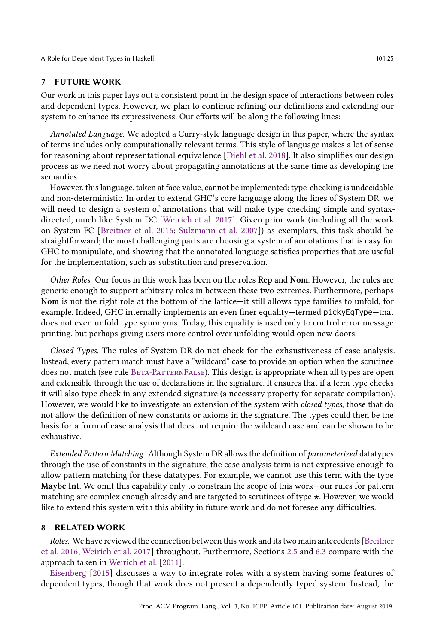#### <span id="page-24-0"></span>7 FUTURE WORK

Our work in this paper lays out a consistent point in the design space of interactions between roles and dependent types. However, we plan to continue refining our definitions and extending our system to enhance its expressiveness. Our efforts will be along the following lines:

Annotated Language. We adopted a Curry-style language design in this paper, where the syntax of terms includes only computationally relevant terms. This style of language makes a lot of sense for reasoning about representational equivalence [\[Diehl et al.](#page-27-6) [2018\]](#page-27-6). It also simplifies our design process as we need not worry about propagating annotations at the same time as developing the semantics.

However, this language, taken at face value, cannot be implemented: type-checking is undecidable and non-deterministic. In order to extend GHC's core language along the lines of System DR, we will need to design a system of annotations that will make type checking simple and syntaxdirected, much like System DC [\[Weirich et al.](#page-28-2) [2017\]](#page-28-2). Given prior work (including all the work on System FC [\[Breitner et al.](#page-27-0) [2016;](#page-27-0) [Sulzmann et al.](#page-28-10) [2007\]](#page-28-10)) as exemplars, this task should be straightforward; the most challenging parts are choosing a system of annotations that is easy for GHC to manipulate, and showing that the annotated language satisfies properties that are useful for the implementation, such as substitution and preservation.

Other Roles. Our focus in this work has been on the roles Rep and Nom. However, the rules are generic enough to support arbitrary roles in between these two extremes. Furthermore, perhaps Nom is not the right role at the bottom of the lattice-it still allows type families to unfold, for example. Indeed, GHC internally implements an even finer equality–termed pickyEqType–that does not even unfold type synonyms. Today, this equality is used only to control error message printing, but perhaps giving users more control over unfolding would open new doors.

Closed Types. The rules of System DR do not check for the exhaustiveness of case analysis. Instead, every pattern match must have a "wildcard" case to provide an option when the scrutinee does not match (see rule BETA-PATTERNFALSE). This design is appropriate when all types are open and extensible through the use of declarations in the signature. It ensures that if a term type checks it will also type check in any extended signature (a necessary property for separate compilation). However, we would like to investigate an extension of the system with closed types, those that do not allow the definition of new constants or axioms in the signature. The types could then be the basis for a form of case analysis that does not require the wildcard case and can be shown to be exhaustive.

Extended Pattern Matching. Although System DR allows the definition of parameterized datatypes through the use of constants in the signature, the case analysis term is not expressive enough to allow pattern matching for these datatypes. For example, we cannot use this term with the type Maybe Int. We omit this capability only to constrain the scope of this work-our rules for pattern matching are complex enough already and are targeted to scrutinees of type  $\star$ . However, we would like to extend this system with this ability in future work and do not foresee any difficulties.

# 8 RELATED WORK

Roles. We have reviewed the connection between this work and its two main antecedents [\[Breitner](#page-27-0) [et al.](#page-27-0) [2016;](#page-27-0) [Weirich et al.](#page-28-2) [2017\]](#page-28-2) throughout. Furthermore, Sections [2.5](#page-5-2) and [6.3](#page-22-0) compare with the approach taken in [Weirich et al.](#page-28-9) [\[2011\]](#page-28-9).

[Eisenberg](#page-27-15) [\[2015\]](#page-27-15) discusses a way to integrate roles with a system having some features of dependent types, though that work does not present a dependently typed system. Instead, the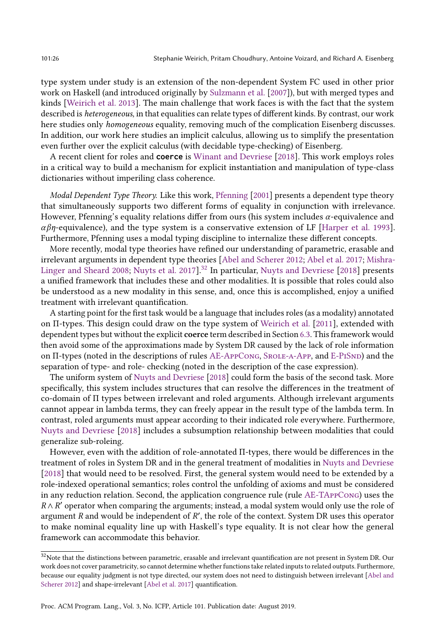type system under study is an extension of the non-dependent System FC used in other prior work on Haskell (and introduced originally by [Sulzmann et al.](#page-28-10) [\[2007\]](#page-28-10)), but with merged types and kinds [\[Weirich et al.](#page-28-1) [2013\]](#page-28-1). The main challenge that work faces is with the fact that the system described is heterogeneous, in that equalities can relate types of different kinds. By contrast, our work here studies only homogeneous equality, removing much of the complication Eisenberg discusses. In addition, our work here studies an implicit calculus, allowing us to simplify the presentation even further over the explicit calculus (with decidable type-checking) of Eisenberg.

A recent client for roles and **coerce** is [Winant and Devriese](#page-28-16) [\[2018\]](#page-28-16). This work employs roles in a critical way to build a mechanism for explicit instantiation and manipulation of type-class dictionaries without imperiling class coherence.

<span id="page-25-0"></span>Modal Dependent Type Theory. Like this work, [Pfenning](#page-28-17) [\[2001\]](#page-28-17) presents a dependent type theory that simultaneously supports two different forms of equality in conjunction with irrelevance. However, Pfenning's equality relations differ from ours (his system includes  $\alpha$ -equivalence and  $\alpha\beta\eta$ -equivalence), and the type system is a conservative extension of LF [\[Harper et al.](#page-28-18) [1993\]](#page-28-18). Furthermore, Pfenning uses a modal typing discipline to internalize these different concepts.

More recently, modal type theories have refined our understanding of parametric, erasable and irrelevant arguments in dependent type theories [\[Abel and Scherer 2012;](#page-27-17) [Abel et al.](#page-27-18) [2017;](#page-27-18) [Mishra-](#page-28-19)[Linger and Sheard 2008;](#page-28-19) [Nuyts et al.](#page-28-20) [2017\]](#page-28-20).<sup>[32](#page-25-1)</sup> In particular, [Nuyts and Devriese](#page-28-21) [\[2018\]](#page-28-21) presents a unified framework that includes these and other modalities. It is possible that roles could also be understood as a new modality in this sense, and, once this is accomplished, enjoy a unified treatment with irrelevant quantification.

A starting point for the first task would be a language that includes roles (as a modality) annotated on Π-types. This design could draw on the type system of [Weirich et al.](#page-28-9) [\[2011\]](#page-28-9), extended with dependent types but without the explicit coerce term described in Section [6.3.](#page-22-0) This framework would then avoid some of the approximations made by System DR caused by the lack of role information on Π-types (noted in the descriptions of rules AE-APPCONG, SROLE-A-APP, and E-PISND) and the separation of type- and role- checking (noted in the description of the case expression).

The uniform system of [Nuyts and Devriese](#page-28-21) [\[2018\]](#page-28-21) could form the basis of the second task. More specifically, this system includes structures that can resolve the differences in the treatment of co-domain of Π types between irrelevant and roled arguments. Although irrelevant arguments cannot appear in lambda terms, they can freely appear in the result type of the lambda term. In contrast, roled arguments must appear according to their indicated role everywhere. Furthermore, [Nuyts and Devriese](#page-28-21) [\[2018\]](#page-28-21) includes a subsumption relationship between modalities that could generalize sub-roleing.

However, even with the addition of role-annotated Π-types, there would be differences in the treatment of roles in System DR and in the general treatment of modalities in [Nuyts and Devriese](#page-28-21) [\[2018\]](#page-28-21) that would need to be resolved. First, the general system would need to be extended by a role-indexed operational semantics; roles control the unfolding of axioms and must be considered in any reduction relation. Second, the application congruence rule (rule [AE-TAppCong](#page-7-7)) uses the  $R \wedge R'$  operator when comparing the arguments; instead, a modal system would only use the role of argument R and would be independent of R ′ , the role of the context. System DR uses this operator to make nominal equality line up with Haskell's type equality. It is not clear how the general framework can accommodate this behavior.

<span id="page-25-1"></span> $\rm ^{32}$  Note that the distinctions between parametric, erasable and irrelevant quantification are not present in System DR. Our work does not cover parametricity, so cannot determine whether functions take related inputs to related outputs. Furthermore, because our equality judgment is not type directed, our system does not need to distinguish between irrelevant [\[Abel and](#page-27-17) [Scherer 2012\]](#page-27-17) and shape-irrelevant [\[Abel et al. 2017\]](#page-27-18) quantification.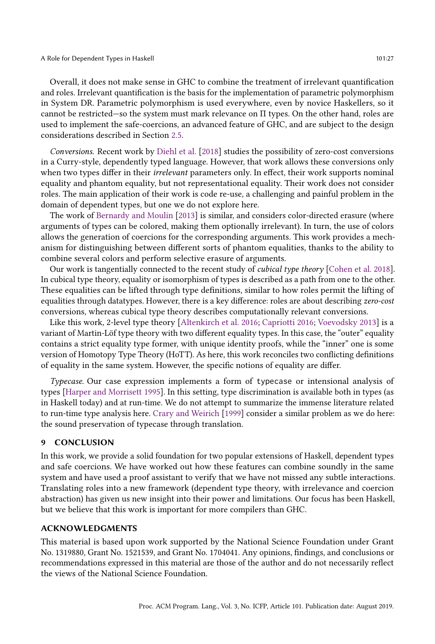Overall, it does not make sense in GHC to combine the treatment of irrelevant quantification and roles. Irrelevant quantification is the basis for the implementation of parametric polymorphism in System DR. Parametric polymorphism is used everywhere, even by novice Haskellers, so it cannot be restricted–so the system must mark relevance on Π types. On the other hand, roles are used to implement the safe-coercions, an advanced feature of GHC, and are subject to the design considerations described in Section [2.5.](#page-5-2)

Conversions. Recent work by [Diehl et al.](#page-27-6) [\[2018\]](#page-27-6) studies the possibility of zero-cost conversions in a Curry-style, dependently typed language. However, that work allows these conversions only when two types differ in their irrelevant parameters only. In effect, their work supports nominal equality and phantom equality, but not representational equality. Their work does not consider roles. The main application of their work is code re-use, a challenging and painful problem in the domain of dependent types, but one we do not explore here.

The work of [Bernardy and Moulin](#page-27-19) [\[2013\]](#page-27-19) is similar, and considers color-directed erasure (where arguments of types can be colored, making them optionally irrelevant). In turn, the use of colors allows the generation of coercions for the corresponding arguments. This work provides a mechanism for distinguishing between different sorts of phantom equalities, thanks to the ability to combine several colors and perform selective erasure of arguments.

Our work is tangentially connected to the recent study of cubical type theory [\[Cohen et al.](#page-27-20) [2018\]](#page-27-20). In cubical type theory, equality or isomorphism of types is described as a path from one to the other. These equalities can be lifted through type definitions, similar to how roles permit the lifting of equalities through datatypes. However, there is a key difference: roles are about describing zero-cost conversions, whereas cubical type theory describes computationally relevant conversions.

Like this work, 2-level type theory [\[Altenkirch et al.](#page-27-21) [2016;](#page-27-21) [Capriotti 2016;](#page-27-22) [Voevodsky 2013\]](#page-28-22) is a variant of Martin-Löf type theory with two different equality types. In this case, the "outer" equality contains a strict equality type former, with unique identity proofs, while the "inner" one is some version of Homotopy Type Theory (HoTT). As here, this work reconciles two conflicting definitions of equality in the same system. However, the specific notions of equality are differ.

Typecase. Our case expression implements a form of typecase or intensional analysis of types [\[Harper and Morrisett 1995\]](#page-28-23). In this setting, type discrimination is available both in types (as in Haskell today) and at run-time. We do not attempt to summarize the immense literature related to run-time type analysis here. [Crary and Weirich](#page-27-23) [\[1999\]](#page-27-23) consider a similar problem as we do here: the sound preservation of typecase through translation.

#### 9 CONCLUSION

In this work, we provide a solid foundation for two popular extensions of Haskell, dependent types and safe coercions. We have worked out how these features can combine soundly in the same system and have used a proof assistant to verify that we have not missed any subtle interactions. Translating roles into a new framework (dependent type theory, with irrelevance and coercion abstraction) has given us new insight into their power and limitations. Our focus has been Haskell, but we believe that this work is important for more compilers than GHC.

#### ACKNOWLEDGMENTS

This material is based upon work supported by the National Science Foundation under Grant No. 1319880, Grant No. 1521539, and Grant No. 1704041. Any opinions, findings, and conclusions or recommendations expressed in this material are those of the author and do not necessarily reflect the views of the National Science Foundation.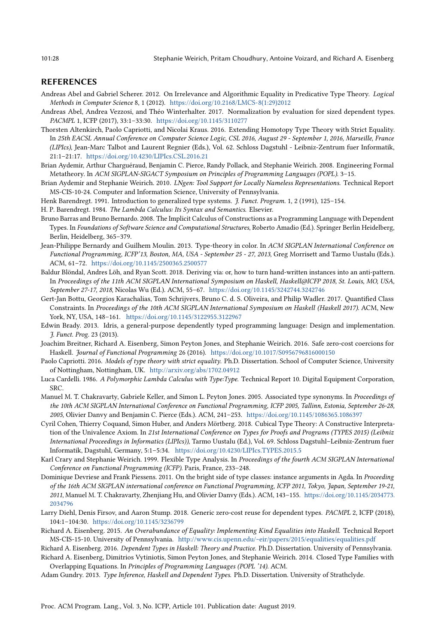#### REFERENCES

- <span id="page-27-17"></span>Andreas Abel and Gabriel Scherer. 2012. On Irrelevance and Algorithmic Equality in Predicative Type Theory. Logical Methods in Computer Science 8, 1 (2012). [https://doi.org/10.2168/LMCS-8\(1:29\)2012](https://doi.org/10.2168/LMCS-8(1:29)2012)
- <span id="page-27-18"></span>Andreas Abel, Andrea Vezzosi, and Théo Winterhalter. 2017. Normalization by evaluation for sized dependent types. PACMPL 1, ICFP (2017), 33:1-33:30. <https://doi.org/10.1145/3110277>
- <span id="page-27-21"></span>Thorsten Altenkirch, Paolo Capriotti, and Nicolai Kraus. 2016. Extending Homotopy Type Theory with Strict Equality. In 25th EACSL Annual Conference on Computer Science Logic, CSL 2016, August 29 - September 1, 2016, Marseille, France (LIPIcs), Jean-Marc Talbot and Laurent Regnier (Eds.), Vol. 62. Schloss Dagstuhl - Leibniz-Zentrum fuer Informatik, 21:1-21:17. <https://doi.org/10.4230/LIPIcs.CSL.2016.21>
- <span id="page-27-8"></span>Brian Aydemir, Arthur Charguéraud, Benjamin C. Pierce, Randy Pollack, and Stephanie Weirich. 2008. Engineering Formal Metatheory. In ACM SIGPLAN-SIGACT Symposium on Principles of Programming Languages (POPL). 3-15.
- <span id="page-27-7"></span>Brian Aydemir and Stephanie Weirich. 2010. LNgen: Tool Support for Locally Nameless Representations. Technical Report MS-CIS-10-24. Computer and Information Science, University of Pennsylvania.
- <span id="page-27-11"></span>Henk Barendregt. 1991. Introduction to generalized type systems. *J. Funct. Program.* 1, 2 (1991), 125-154.
- <span id="page-27-14"></span>H. P. Barendregt. 1984. The Lambda Calculus: Its Syntax and Semantics. Elsevier.
- <span id="page-27-13"></span>Bruno Barras and Bruno Bernardo. 2008. The Implicit Calculus of Constructions as a Programming Language with Dependent Types. In Foundations of Software Science and Computational Structures, Roberto Amadio (Ed.). Springer Berlin Heidelberg, Berlin, Heidelberg, 365-379.
- <span id="page-27-19"></span>Jean-Philippe Bernardy and Guilhem Moulin. 2013. Type-theory in color. In ACM SIGPLAN International Conference on Functional Programming, ICFP'13, Boston, MA, USA - September 25 - 27, 2013, Greg Morrisett and Tarmo Uustalu (Eds.). ACM, 61-72. <https://doi.org/10.1145/2500365.2500577>
- <span id="page-27-9"></span>Baldur Blöndal, Andres Löh, and Ryan Scott. 2018. Deriving via: or, how to turn hand-written instances into an anti-pattern. In Proceedings of the 11th ACM SIGPLAN International Symposium on Haskell, Haskell@ICFP 2018, St. Louis, MO, USA, September 27-17, 2018, Nicolas Wu (Ed.). ACM, 55-67. <https://doi.org/10.1145/3242744.3242746>
- <span id="page-27-16"></span>Gert-Jan Bottu, Georgios Karachalias, Tom Schrijvers, Bruno C. d. S. Oliveira, and Philip Wadler. 2017. Quantified Class Constraints. In Proceedings of the 10th ACM SIGPLAN International Symposium on Haskell (Haskell 2017). ACM, New York, NY, USA, 148-161. <https://doi.org/10.1145/3122955.3122967>
- <span id="page-27-4"></span>Edwin Brady. 2013. Idris, a general-purpose dependently typed programming language: Design and implementation. J. Funct. Prog. 23 (2013).
- <span id="page-27-0"></span>Joachim Breitner, Richard A. Eisenberg, Simon Peyton Jones, and Stephanie Weirich. 2016. Safe zero-cost coercions for Haskell. Journal of Functional Programming 26 (2016). <https://doi.org/10.1017/S0956796816000150>
- <span id="page-27-22"></span>Paolo Capriotti. 2016. Models of type theory with strict equality. Ph.D. Dissertation. School of Computer Science, University of Nottingham, Nottingham, UK. <http://arxiv.org/abs/1702.04912>
- <span id="page-27-12"></span>Luca Cardelli. 1986. A Polymorphic Lambda Calculus with Type:Type. Technical Report 10. Digital Equipment Corporation, SRC.
- <span id="page-27-1"></span>Manuel M. T. Chakravarty, Gabriele Keller, and Simon L. Peyton Jones. 2005. Associated type synonyms. In Proceedings of the 10th ACM SIGPLAN International Conference on Functional Programming, ICFP 2005, Tallinn, Estonia, September 26-28, 2005, Olivier Danvy and Benjamin C. Pierce (Eds.). ACM, 241-253. <https://doi.org/10.1145/1086365.1086397>
- <span id="page-27-20"></span>Cyril Cohen, Thierry Coquand, Simon Huber, and Anders Mörtberg. 2018. Cubical Type Theory: A Constructive Interpretation of the Univalence Axiom. In 21st International Conference on Types for Proofs and Programs (TYPES 2015) (Leibniz International Proceedings in Informatics (LIPIcs)), Tarmo Uustalu (Ed.), Vol. 69. Schloss Dagstuhl-Leibniz-Zentrum fuer Informatik, Dagstuhl, Germany, 5:1-5:34. <https://doi.org/10.4230/LIPIcs.TYPES.2015.5>
- <span id="page-27-23"></span>Karl Crary and Stephanie Weirich. 1999. Flexible Type Analysis. In Proceedings of the fourth ACM SIGPLAN International Conference on Functional Programming (ICFP). Paris, France, 233-248.
- <span id="page-27-5"></span>Dominique Devriese and Frank Piessens. 2011. On the bright side of type classes: instance arguments in Agda. In Proceeding of the 16th ACM SIGPLAN international conference on Functional Programming, ICFP 2011, Tokyo, Japan, September 19-21, 2011, Manuel M. T. Chakravarty, Zhenjiang Hu, and Olivier Danvy (Eds.). ACM, 143-155. [https://doi.org/10.1145/2034773.](https://doi.org/10.1145/2034773.2034796) [2034796](https://doi.org/10.1145/2034773.2034796)
- <span id="page-27-6"></span>Larry Diehl, Denis Firsov, and Aaron Stump. 2018. Generic zero-cost reuse for dependent types. PACMPL 2, ICFP (2018), 104:1-104:30. <https://doi.org/10.1145/3236799>
- <span id="page-27-15"></span>Richard A. Eisenberg. 2015. An Overabundance of Equality: Implementing Kind Equalities into Haskell. Technical Report MS-CIS-15-10. University of Pennsylvania. <http://www.cis.upenn.edu/~eir/papers/2015/equalities/equalities.pdf>
- <span id="page-27-10"></span><span id="page-27-2"></span>Richard A. Eisenberg. 2016. Dependent Types in Haskell: Theory and Practice. Ph.D. Dissertation. University of Pennsylvania. Richard A. Eisenberg, Dimitrios Vytiniotis, Simon Peyton Jones, and Stephanie Weirich. 2014. Closed Type Families with Overlapping Equations. In Principles of Programming Languages (POPL '14). ACM.
- <span id="page-27-3"></span>Adam Gundry. 2013. Type Inference, Haskell and Dependent Types. Ph.D. Dissertation. University of Strathclyde.